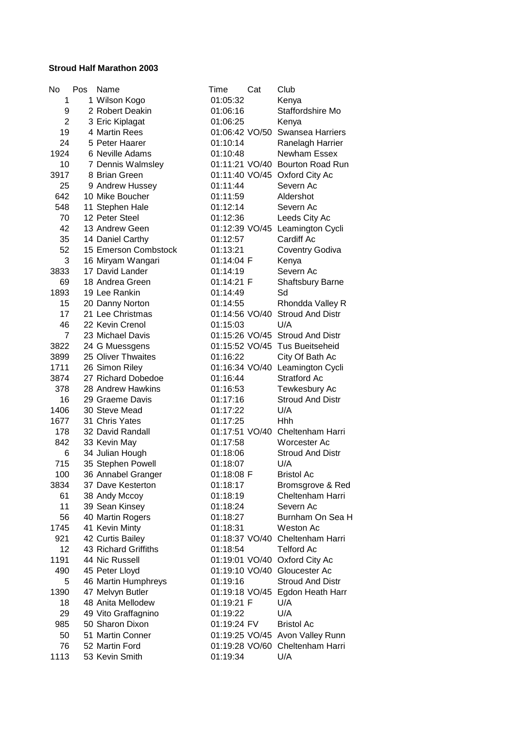## **Stroud Half Marathon 2003**

| No             | Pos | Name                 | Time           | Cat | Club                            |
|----------------|-----|----------------------|----------------|-----|---------------------------------|
| 1              |     | 1 Wilson Kogo        | 01:05:32       |     | Kenya                           |
| 9              |     | 2 Robert Deakin      | 01:06:16       |     | Staffordshire Mo                |
| $\overline{2}$ |     | 3 Eric Kiplagat      | 01:06:25       |     | Kenya                           |
| 19             |     | 4 Martin Rees        |                |     | 01:06:42 VO/50 Swansea Harriers |
| 24             |     | 5 Peter Haarer       | 01:10:14       |     | Ranelagh Harrier                |
| 1924           |     | 6 Neville Adams      | 01:10:48       |     | Newham Essex                    |
| 10             |     | 7 Dennis Walmsley    | 01:11:21 VO/40 |     | <b>Bourton Road Run</b>         |
| 3917           |     | 8 Brian Green        | 01:11:40 VO/45 |     | Oxford City Ac                  |
| 25             |     | 9 Andrew Hussey      | 01:11:44       |     | Severn Ac                       |
| 642            |     | 10 Mike Boucher      | 01:11:59       |     | Aldershot                       |
| 548            |     | 11 Stephen Hale      | 01:12:14       |     | Severn Ac                       |
| 70             |     | 12 Peter Steel       | 01:12:36       |     | Leeds City Ac                   |
| 42             |     | 13 Andrew Geen       |                |     | 01:12:39 VO/45 Leamington Cycli |
| 35             |     | 14 Daniel Carthy     | 01:12:57       |     | Cardiff Ac                      |
| 52             |     | 15 Emerson Combstock | 01:13:21       |     | <b>Coventry Godiva</b>          |
| 3              |     | 16 Miryam Wangari    | 01:14:04 F     |     | Kenya                           |
| 3833           |     | 17 David Lander      | 01:14:19       |     | Severn Ac                       |
| 69             |     | 18 Andrea Green      | 01:14:21 F     |     | Shaftsbury Barne                |
| 1893           |     | 19 Lee Rankin        | 01:14:49       |     | Sd                              |
| 15             |     | 20 Danny Norton      | 01:14:55       |     | Rhondda Valley R                |
| 17             |     | 21 Lee Christmas     | 01:14:56 VO/40 |     | <b>Stroud And Distr</b>         |
| 46             |     | 22 Kevin Crenol      | 01:15:03       |     | U/A                             |
| 7              |     | 23 Michael Davis     | 01:15:26 VO/45 |     | <b>Stroud And Distr</b>         |
| 3822           |     | 24 G Muessgens       | 01:15:52 VO/45 |     | <b>Tus Bueitseheid</b>          |
| 3899           |     | 25 Oliver Thwaites   | 01:16:22       |     | City Of Bath Ac                 |
| 1711           |     | 26 Simon Riley       | 01:16:34 VO/40 |     | Leamington Cycli                |
| 3874           |     | 27 Richard Dobedoe   | 01:16:44       |     | Stratford Ac                    |
| 378            |     | 28 Andrew Hawkins    | 01:16:53       |     | Tewkesbury Ac                   |
| 16             |     | 29 Graeme Davis      | 01:17:16       |     | <b>Stroud And Distr</b>         |
| 1406           |     | 30 Steve Mead        | 01:17:22       |     | U/A                             |
| 1677           |     | 31 Chris Yates       | 01:17:25       |     | <b>Hhh</b>                      |
| 178            |     | 32 David Randall     |                |     | 01:17:51 VO/40 Cheltenham Harri |
| 842            |     | 33 Kevin May         | 01:17:58       |     | Worcester Ac                    |
| 6              |     | 34 Julian Hough      | 01:18:06       |     | <b>Stroud And Distr</b>         |
| 715            |     | 35 Stephen Powell    | 01:18:07       |     | U/A                             |
| 100            |     | 36 Annabel Granger   | 01:18:08 F     |     | <b>Bristol Ac</b>               |
| 3834           |     | 37 Dave Kesterton    | 01:18:17       |     | Bromsgrove & Red                |
| 61             |     | 38 Andy Mccoy        | 01:18:19       |     | Cheltenham Harri                |
| 11             |     | 39 Sean Kinsey       | 01:18:24       |     | Severn Ac                       |
| 56             |     | 40 Martin Rogers     | 01:18:27       |     | Burnham On Sea H                |
| 1745           |     | 41 Kevin Minty       | 01:18:31       |     | Weston Ac                       |
| 921            |     | 42 Curtis Bailey     | 01:18:37 VO/40 |     | Cheltenham Harri                |
| 12             |     | 43 Richard Griffiths | 01:18:54       |     | <b>Telford Ac</b>               |
| 1191           |     | 44 Nic Russell       | 01:19:01 VO/40 |     | Oxford City Ac                  |
|                |     |                      |                |     |                                 |
| 490            |     | 45 Peter Lloyd       | 01:19:10 VO/40 |     | Gloucester Ac                   |
| 5              |     | 46 Martin Humphreys  | 01:19:16       |     | <b>Stroud And Distr</b>         |
| 1390           |     | 47 Melvyn Butler     |                |     | 01:19:18 VO/45 Egdon Heath Harr |
| 18             |     | 48 Anita Mellodew    | 01:19:21 F     |     | U/A                             |
| 29             |     | 49 Vito Graffagnino  | 01:19:22       |     | U/A                             |
| 985            |     | 50 Sharon Dixon      | 01:19:24 FV    |     | <b>Bristol Ac</b>               |
| 50             |     | 51 Martin Conner     |                |     | 01:19:25 VO/45 Avon Valley Runn |
| 76             |     | 52 Martin Ford       |                |     | 01:19:28 VO/60 Cheltenham Harri |
| 1113           |     | 53 Kevin Smith       | 01:19:34       |     | U/A                             |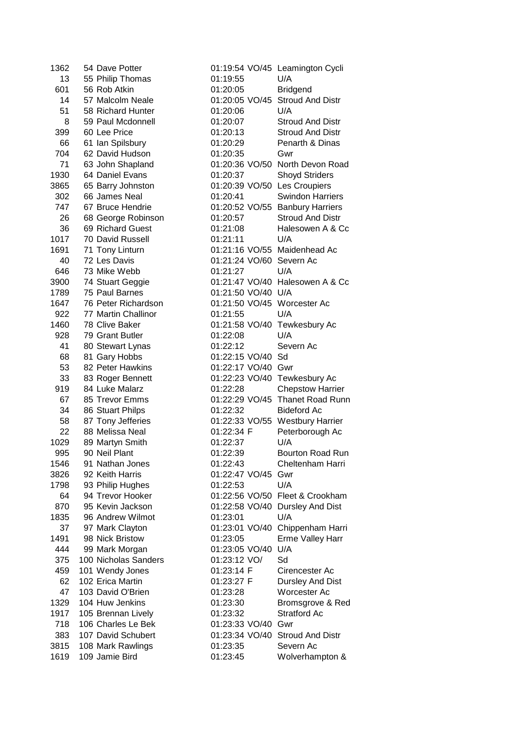| 1362 | 54 Dave Potter       | 01:19:54 VO/45 Leamington   |                    |
|------|----------------------|-----------------------------|--------------------|
| 13   | 55 Philip Thomas     | 01:19:55                    | U/A                |
| 601  | 56 Rob Atkin         | 01:20:05                    | <b>Bridgend</b>    |
| 14   | 57 Malcolm Neale     | 01:20:05 VO/45 Stroud And   |                    |
| 51   | 58 Richard Hunter    | 01:20:06                    | U/A                |
| 8    | 59 Paul Mcdonnell    | 01:20:07                    | Stroud And         |
| 399  | 60 Lee Price         | 01:20:13                    | Stroud And         |
| 66   | 61 Ian Spilsbury     | 01:20:29                    | Penarth & D        |
| 704  | 62 David Hudson      | 01:20:35                    | Gwr                |
| 71   | 63 John Shapland     | 01:20:36 VO/50 North Devor  |                    |
| 1930 | 64 Daniel Evans      | 01:20:37                    | Shoyd Strid        |
| 3865 | 65 Barry Johnston    | 01:20:39 VO/50              | Les Croupie        |
| 302  | 66 James Neal        | 01:20:41                    | Swindon Ha         |
| 747  | 67 Bruce Hendrie     | 01:20:52 VO/55 Banbury Ha   |                    |
| 26   | 68 George Robinson   | 01:20:57                    | Stroud And         |
| 36   | 69 Richard Guest     | 01:21:08                    | Halesowen          |
| 1017 | 70 David Russell     | 01:21:11                    | U/A                |
| 1691 | 71 Tony Linturn      | 01:21:16 VO/55 Maidenhead   |                    |
| 40   | 72 Les Davis         | 01:21:24 VO/60 Severn Ac    |                    |
| 646  | 73 Mike Webb         | 01:21:27                    | U/A                |
| 3900 | 74 Stuart Geggie     | 01:21:47 VO/40 Halesowen.   |                    |
| 1789 | 75 Paul Barnes       | 01:21:50 VO/40 U/A          |                    |
| 1647 | 76 Peter Richardson  | 01:21:50 VO/45 Worcester A  |                    |
| 922  | 77 Martin Challinor  | 01:21:55                    | U/A                |
| 1460 | 78 Clive Baker       | 01:21:58 VO/40 Tewkesbury   |                    |
| 928  | 79 Grant Butler      | 01:22:08                    | U/A                |
| 41   | 80 Stewart Lynas     | 01:22:12                    | Severn Ac          |
| 68   | 81 Gary Hobbs        | 01:22:15 VO/40              | Sd                 |
| 53   | 82 Peter Hawkins     | 01:22:17 VO/40              | Gwr                |
| 33   | 83 Roger Bennett     | 01:22:23 VO/40 Tewkesbury   |                    |
| 919  | 84 Luke Malarz       | 01:22:28                    | Chepstow H         |
| 67   | 85 Trevor Emms       | 01:22:29 VO/45 Thanet Roa   |                    |
| 34   | 86 Stuart Philps     | 01:22:32                    | <b>Bideford Ac</b> |
| 58   | 87 Tony Jefferies    | 01:22:33 VO/55 Westbury H   |                    |
| 22   | 88 Melissa Neal      | 01:22:34 F                  | Peterboroug        |
| 1029 | 89 Martyn Smith      | 01:22:37                    | U/A                |
| 995  | 90 Neil Plant        | 01:22:39                    | <b>Bourton Roa</b> |
| 1546 | 91 Nathan Jones      | 01:22:43                    | Cheltenham         |
| 3826 | 92 Keith Harris      | 01:22:47 VO/45 Gwr          |                    |
| 1798 | 93 Philip Hughes     | 01:22:53                    | U/A                |
| 64   | 94 Trevor Hooker     | 01:22:56 VO/50 Fleet & Croo |                    |
| 870  | 95 Kevin Jackson     | 01:22:58 VO/40 Dursley And  |                    |
| 1835 | 96 Andrew Wilmot     | 01:23:01                    | U/A                |
| 37   | 97 Mark Clayton      | 01:23:01 VO/40              | Chippenhan         |
| 1491 | 98 Nick Bristow      | 01:23:05                    | Erme Valley        |
| 444  | 99 Mark Morgan       | 01:23:05 VO/40              | U/A                |
| 375  | 100 Nicholas Sanders | 01:23:12 VO/                | Sd                 |
| 459  | 101 Wendy Jones      | 01:23:14 F                  | Cirencester        |
| 62   | 102 Erica Martin     | 01:23:27 F                  | <b>Dursley And</b> |
| 47   | 103 David O'Brien    | 01:23:28                    | Worcester A        |
| 1329 | 104 Huw Jenkins      | 01:23:30                    | Bromsgrove         |
| 1917 | 105 Brennan Lively   | 01:23:32                    | Stratford Ac       |
| 718  | 106 Charles Le Bek   | 01:23:33 VO/40 Gwr          |                    |
| 383  | 107 David Schubert   | 01:23:34 VO/40 Stroud And   |                    |
| 3815 | 108 Mark Rawlings    | 01:23:35                    | Severn Ac          |
|      | 1619 109 Jamie Bird  | 01:23:45                    | Wolverham          |

| 1362 | 54 Dave Potter                     |                    | 01:19:54 VO/45 Leamington Cycli |
|------|------------------------------------|--------------------|---------------------------------|
| 13   | 55 Philip Thomas                   | 01:19:55           | U/A                             |
| 601  | 56 Rob Atkin                       | 01:20:05           | <b>Bridgend</b>                 |
| 14   | 57 Malcolm Neale                   |                    | 01:20:05 VO/45 Stroud And Distr |
| 51   | 58 Richard Hunter                  | 01:20:06           | U/A                             |
| 8    | 59 Paul Mcdonnell                  | 01:20:07           | <b>Stroud And Distr</b>         |
| 399  | 60 Lee Price                       | 01:20:13           | <b>Stroud And Distr</b>         |
| 66   | 61 Ian Spilsbury                   | 01:20:29           | Penarth & Dinas                 |
| 704  | 62 David Hudson                    | 01:20:35           | Gwr                             |
| 71   | 63 John Shapland                   |                    | 01:20:36 VO/50 North Devon Road |
| 1930 | 64 Daniel Evans                    | 01:20:37           | <b>Shoyd Striders</b>           |
| 3865 | 65 Barry Johnston                  |                    | 01:20:39 VO/50 Les Croupiers    |
| 302  | 66 James Neal                      | 01:20:41           | <b>Swindon Harriers</b>         |
| 747  | 67 Bruce Hendrie                   |                    | 01:20:52 VO/55 Banbury Harriers |
|      |                                    |                    |                                 |
| 26   | 68 George Robinson                 | 01:20:57           | <b>Stroud And Distr</b>         |
| 36   | 69 Richard Guest                   | 01:21:08           | Halesowen A & Cc                |
| 1017 | 70 David Russell                   | 01:21:11           | U/A                             |
| 1691 | 71 Tony Linturn                    |                    | 01:21:16 VO/55 Maidenhead Ac    |
| 40   | 72 Les Davis                       |                    | 01:21:24 VO/60 Severn Ac        |
| 646  | 73 Mike Webb                       | 01:21:27           | U/A                             |
| 3900 | 74 Stuart Geggie                   |                    | 01:21:47 VO/40 Halesowen A & Cc |
| 1789 | 75 Paul Barnes                     | 01:21:50 VO/40 U/A |                                 |
| 1647 | 76 Peter Richardson                |                    | 01:21:50 VO/45 Worcester Ac     |
| 922  | 77 Martin Challinor                | 01:21:55           | U/A                             |
| 1460 | 78 Clive Baker                     | 01:21:58 VO/40     | Tewkesbury Ac                   |
| 928  | 79 Grant Butler                    | 01:22:08           | U/A                             |
| 41   | 80 Stewart Lynas                   | 01:22:12           | Severn Ac                       |
| 68   | 81 Gary Hobbs                      | 01:22:15 VO/40 Sd  |                                 |
| 53   | 82 Peter Hawkins                   | 01:22:17 VO/40 Gwr |                                 |
| 33   | 83 Roger Bennett                   |                    | 01:22:23 VO/40 Tewkesbury Ac    |
| 919  | 84 Luke Malarz                     | 01:22:28           | <b>Chepstow Harrier</b>         |
| 67   | 85 Trevor Emms                     |                    | 01:22:29 VO/45 Thanet Road Runn |
| 34   | 86 Stuart Philps                   | 01:22:32           | <b>Bideford Ac</b>              |
| 58   | 87 Tony Jefferies                  |                    | 01:22:33 VO/55 Westbury Harrier |
| 22   | 88 Melissa Neal                    | 01:22:34 F         | Peterborough Ac                 |
| 1029 | 89 Martyn Smith                    | 01:22:37           | U/A                             |
| 995  | 90 Neil Plant                      | 01:22:39           | Bourton Road Run                |
| 1546 | 91 Nathan Jones                    | 01:22:43           | Cheltenham Harri                |
| 3826 | 92 Keith Harris                    | 01:22:47 VO/45 Gwr |                                 |
| 1798 | 93 Philip Hughes                   | 01:22:53           | U/A                             |
| 64   | 94 Trevor Hooker                   |                    | 01:22:56 VO/50 Fleet & Crookham |
| 870  | 95 Kevin Jackson                   | 01:22:58 VO/40     | Dursley And Dist                |
| 1835 | 96 Andrew Wilmot                   | 01:23:01           | U/A                             |
| 37   |                                    |                    |                                 |
|      | 97 Mark Clayton<br>98 Nick Bristow | 01:23:01 VO/40     | Chippenham Harri                |
| 1491 |                                    | 01:23:05           | Erme Valley Harr                |
| 444  | 99 Mark Morgan                     | 01:23:05 VO/40     | U/A                             |
| 375  | 100 Nicholas Sanders               | 01:23:12 VO/       | Sd                              |
| 459  | 101 Wendy Jones                    | 01:23:14 F         | Cirencester Ac                  |
| 62   | 102 Erica Martin                   | 01:23:27 F         | <b>Dursley And Dist</b>         |
| 47   | 103 David O'Brien                  | 01:23:28           | Worcester Ac                    |
| 1329 | 104 Huw Jenkins                    | 01:23:30           | Bromsgrove & Red                |
| 1917 | 105 Brennan Lively                 | 01:23:32           | Stratford Ac                    |
| 718  | 106 Charles Le Bek                 | 01:23:33 VO/40 Gwr |                                 |
| 383  | 107 David Schubert                 |                    | 01:23:34 VO/40 Stroud And Distr |
| 3815 | 108 Mark Rawlings                  | 01:23:35           | Severn Ac                       |
| 1619 | 109 Jamie Bird                     | 01:23:45           | Wolverhampton &                 |
|      |                                    |                    |                                 |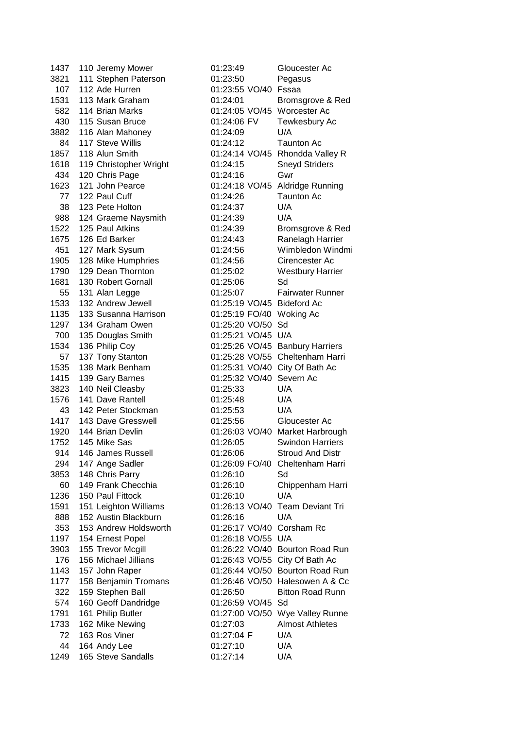3821 111 Stephen Paterson 01:23:50 Pegasus 107 112 Ade Hurren 01:23:55 VO/40 Fssaa 582 114 Brian Marks 01:24:05 VO/45 Worcester Ac 3882 116 Alan Mahoney 01:24:09 U/A 84 117 Steve Willis 01:24:12 Taunton Ac 1618 119 Christopher Wright 01:24:15 Sneyd Striders 434 120 Chris Page 01:24:16 Gwr 77 122 Paul Cuff 01:24:26 Taunton Ac 38 123 Pete Holton 01:24:37 U/A 988 124 Graeme Naysmith 01:24:39 U/A 1905 128 Mike Humphries 01:24:56 Cirencester Ac 1681 130 Robert Gornall 01:25:06 Sd 1533 132 Andrew Jewell 01:25:19 VO/45 Bideford Ac 1135 133 Susanna Harrison 01:25:19 FO/40 Woking Ac 1297 134 Graham Owen 01:25:20 VO/50 Sd 700 135 Douglas Smith 01:25:21 VO/45 U/A 1535 138 Mark Benham 01:25:31 VO/40 City Of Bath Ac 1415 139 Gary Barnes 01:25:32 VO/40 Severn Ac 3823 140 Neil Cleasby 01:25:33 U/A 1576 141 Dave Rantell 01:25:48 U/A 43 142 Peter Stockman 01:25:53 U/A 1417 143 Dave Gresswell 01:25:56 Gloucester Ac 3853 148 Chris Parry 01:26:10 Sd 1236 150 Paul Fittock 01:26:10 U/A 888 152 Austin Blackburn 01:26:16 U/A 353 153 Andrew Holdsworth 01:26:17 VO/40 Corsham Rc 1197 154 Ernest Popel 01:26:18 VO/55 U/A 574 160 Geoff Dandridge 01:26:59 VO/45 Sd 72 163 Ros Viner 01:27:04 F U/A 44 164 Andy Lee 01:27:10 U/A 1249 165 Steve Sandalls 01:27:14 U/A

1437 110 Jeremy Mower 01:23:49 Gloucester Ac 1531 113 Mark Graham 01:24:01 Bromsgrove & Red 430 115 Susan Bruce 01:24:06 FV Tewkesbury Ac 1857 118 Alun Smith 01:24:14 VO/45 Rhondda Valley R 1623 121 John Pearce 01:24:18 VO/45 Aldridge Running 1522 125 Paul Atkins 01:24:39 Bromsgrove & Red 1675 126 Ed Barker 01:24:43 Ranelagh Harrier 451 127 Mark Sysum 01:24:56 Wimbledon Windmi 1790 129 Dean Thornton 01:25:02 Westbury Harrier 55 131 Alan Legge 01:25:07 Fairwater Runner 1534 136 Philip Coy 01:25:26 VO/45 Banbury Harriers 57 137 Tony Stanton 01:25:28 VO/55 Cheltenham Harri 1920 144 Brian Devlin 01:26:03 VO/40 Market Harbrough 1752 145 Mike Sas 01:26:05 Swindon Harriers 914 146 James Russell 01:26:06 Stroud And Distr 294 147 Ange Sadler 01:26:09 FO/40 Cheltenham Harri 60 149 Frank Checchia 01:26:10 Chippenham Harri 1591 151 Leighton Williams 01:26:13 VO/40 Team Deviant Tri 3903 155 Trevor Mcgill 01:26:22 VO/40 Bourton Road Run 176 156 Michael Jillians 01:26:43 VO/55 City Of Bath Ac 1143 157 John Raper 01:26:44 VO/50 Bourton Road Run 1177 158 Benjamin Tromans 01:26:46 VO/50 Halesowen A & Cc 322 159 Stephen Ball 01:26:50 Bitton Road Runn 1791 161 Philip Butler 01:27:00 VO/50 Wye Valley Runne 1733 162 Mike Newing 01:27:03 Almost Athletes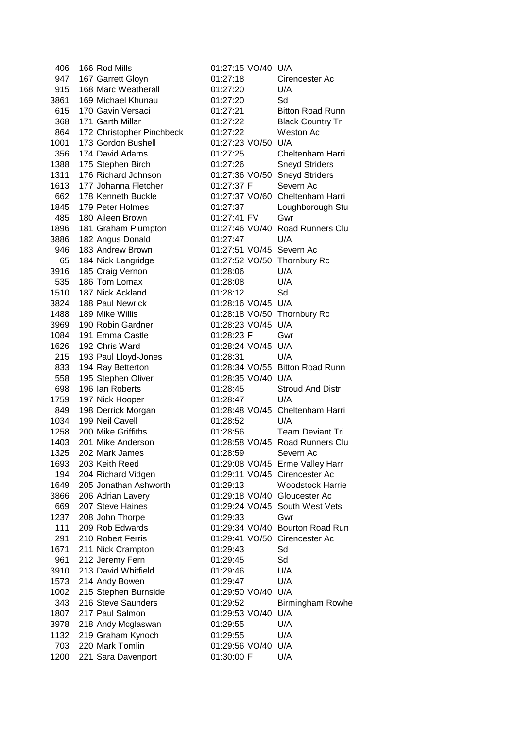406 166 Rod Mills 01:27:15 VO/40 U/A 947 167 Garrett Gloyn 01:27:18 Cirencester Ac 915 168 Marc Weatherall 01:27:20 U/A 3861 169 Michael Khunau 01:27:20 Sd 615 170 Gavin Versaci 01:27:21 Bitton Road Runn 368 171 Garth Millar 01:27:22 Black Country Tr 864 172 Christopher Pinchbeck 01:27:22 Weston Ac 1001 173 Gordon Bushell 01:27:23 VO/50 U/A 356 174 David Adams 01:27:25 Cheltenham Harri 1388 175 Stephen Birch 01:27:26 Sneyd Striders 1311 176 Richard Johnson 01:27:36 VO/50 Sneyd Striders 1613 177 Johanna Fletcher 01:27:37 F Severn Ac 662 178 Kenneth Buckle 01:27:37 VO/60 Cheltenham Harri 1845 179 Peter Holmes 01:27:37 Loughborough Stu 485 180 Aileen Brown 01:27:41 FV Gwr 1896 181 Graham Plumpton 01:27:46 VO/40 Road Runners Clu 3886 182 Angus Donald 01:27:47 U/A 946 183 Andrew Brown 01:27:51 VO/45 Severn Ac 65 184 Nick Langridge 01:27:52 VO/50 Thornbury Rc 3916 185 Craig Vernon 01:28:06 U/A 535 186 Tom Lomax 01:28:08 U/A 1510 187 Nick Ackland 01:28:12 Sd 3824 188 Paul Newrick 01:28:16 VO/45 U/A 1488 189 Mike Willis 01:28:18 VO/50 Thornbury Rc 3969 190 Robin Gardner 01:28:23 VO/45 U/A 1084 191 Emma Castle 01:28:23 F Gwr 1626 192 Chris Ward 01:28:24 VO/45 U/A 215 193 Paul Lloyd-Jones 01:28:31 U/A 833 194 Ray Betterton 01:28:34 VO/55 Bitton Road Runn 558 195 Stephen Oliver 01:28:35 VO/40 U/A 698 196 Ian Roberts 01:28:45 Stroud And Distr 1759 197 Nick Hooper 01:28:47 U/A 849 198 Derrick Morgan 01:28:48 VO/45 Cheltenham Harri 1034 199 Neil Cavell 01:28:52 U/A 1258 200 Mike Griffiths 01:28:56 Team Deviant Tri 1403 201 Mike Anderson 01:28:58 VO/45 Road Runners Clu 1325 202 Mark James 01:28:59 Severn Ac 1693 203 Keith Reed 01:29:08 VO/45 Erme Valley Harr 194 204 Richard Vidgen 01:29:11 VO/45 Cirencester Ac 1649 205 Jonathan Ashworth 01:29:13 Woodstock Harrie 3866 206 Adrian Lavery 01:29:18 VO/40 Gloucester Ac 669 207 Steve Haines 01:29:24 VO/45 South West Vets 1237 208 John Thorpe 01:29:33 Gwr 111 209 Rob Edwards 01:29:34 VO/40 Bourton Road Run 291 210 Robert Ferris 01:29:41 VO/50 Cirencester Ac 1671 211 Nick Crampton 01:29:43 Sd 961 212 Jeremy Fern 01:29:45 Sd 3910 213 David Whitfield 01:29:46 U/A 1573 214 Andy Bowen 01:29:47 U/A 1002 215 Stephen Burnside 01:29:50 VO/40 U/A 343 216 Steve Saunders 01:29:52 Birmingham Rowhe 1807 217 Paul Salmon 01:29:53 VO/40 U/A 3978 218 Andy Mcglaswan 01:29:55 U/A 1132 219 Graham Kynoch 01:29:55 U/A 703 220 Mark Tomlin 01:29:56 VO/40 U/A 1200 221 Sara Davenport 01:30:00 F U/A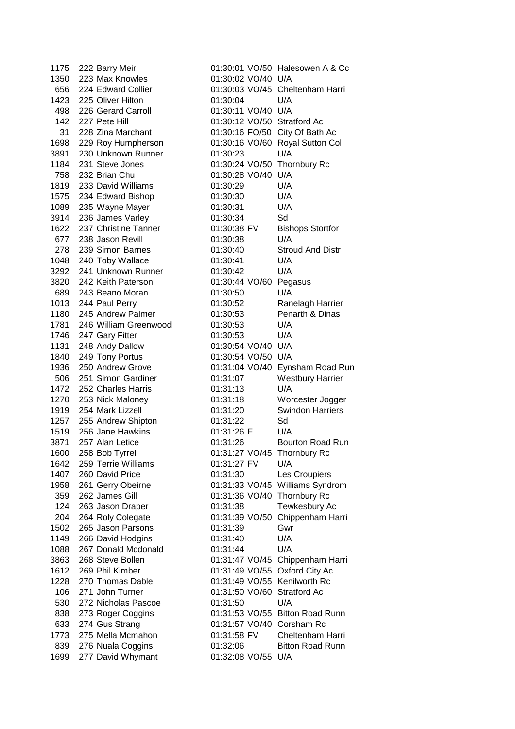1175 222 Barry Meir 01:30:01 VO/50 Halesowen A & Cc 1350 223 Max Knowles 01:30:02 VO/40 U/A 656 224 Edward Collier 01:30:03 VO/45 Cheltenham Harri 1423 225 Oliver Hilton 01:30:04 U/A 498 226 Gerard Carroll 01:30:11 VO/40 U/A 142 227 Pete Hill 01:30:12 VO/50 Stratford Ac 31 228 Zina Marchant 01:30:16 FO/50 City Of Bath Ac 1698 229 Roy Humpherson 01:30:16 VO/60 Royal Sutton Col 3891 230 Unknown Runner 01:30:23 U/A 1184 231 Steve Jones 01:30:24 VO/50 Thornbury Rc 758 232 Brian Chu 01:30:28 VO/40 U/A 1819 233 David Williams 01:30:29 U/A 1575 234 Edward Bishop 01:30:30 U/A 1089 235 Wayne Mayer 01:30:31 U/A 3914 236 James Varley 01:30:34 Sd 1622 237 Christine Tanner 01:30:38 FV Bishops Stortfor 677 238 Jason Revill 01:30:38 U/A 278 239 Simon Barnes 01:30:40 Stroud And Distr 1048 240 Toby Wallace 01:30:41 U/A 3292 241 Unknown Runner 01:30:42 U/A 3820 242 Keith Paterson 01:30:44 VO/60 Pegasus 689 243 Beano Moran 01:30:50 U/A 1013 244 Paul Perry 01:30:52 Ranelagh Harrier 1180 245 Andrew Palmer 01:30:53 Penarth & Dinas 1781 246 William Greenwood 01:30:53 U/A 1746 247 Gary Fitter 01:30:53 U/A 1131 248 Andy Dallow 01:30:54 VO/40 U/A 1840 249 Tony Portus 01:30:54 VO/50 U/A 1936 250 Andrew Grove 01:31:04 VO/40 Eynsham Road Run 506 251 Simon Gardiner 01:31:07 Westbury Harrier 1472 252 Charles Harris 01:31:13 U/A 1270 253 Nick Maloney 01:31:18 Worcester Jogger 1919 254 Mark Lizzell 01:31:20 Swindon Harriers 1257 255 Andrew Shipton 01:31:22 Sd 1519 256 Jane Hawkins 01:31:26 F U/A 3871 257 Alan Letice 01:31:26 Bourton Road Run 1600 258 Bob Tyrrell 01:31:27 VO/45 Thornbury Rc 1642 259 Terrie Williams 01:31:27 FV U/A 1407 260 David Price 01:31:30 Les Croupiers 1958 261 Gerry Obeirne 01:31:33 VO/45 Williams Syndrom 359 262 James Gill 01:31:36 VO/40 Thornbury Rc 124 263 Jason Draper 01:31:38 Tewkesbury Ac 204 264 Roly Colegate 01:31:39 VO/50 Chippenham Harri 1502 265 Jason Parsons 01:31:39 Gwr 1149 266 David Hodgins 01:31:40 U/A 1088 267 Donald Mcdonald 01:31:44 U/A 3863 268 Steve Bollen 01:31:47 VO/45 Chippenham Harri 1612 269 Phil Kimber 01:31:49 VO/55 Oxford City Ac 1228 270 Thomas Dable 01:31:49 VO/55 Kenilworth Rc 106 271 John Turner 01:31:50 VO/60 Stratford Ac 530 272 Nicholas Pascoe 01:31:50 U/A 838 273 Roger Coggins 01:31:53 VO/55 Bitton Road Runn 633 274 Gus Strang 01:31:57 VO/40 Corsham Rc 1773 275 Mella Mcmahon 01:31:58 FV Cheltenham Harri 839 276 Nuala Coggins **01:32:06** Bitton Road Runn 1699 277 David Whymant 01:32:08 VO/55 U/A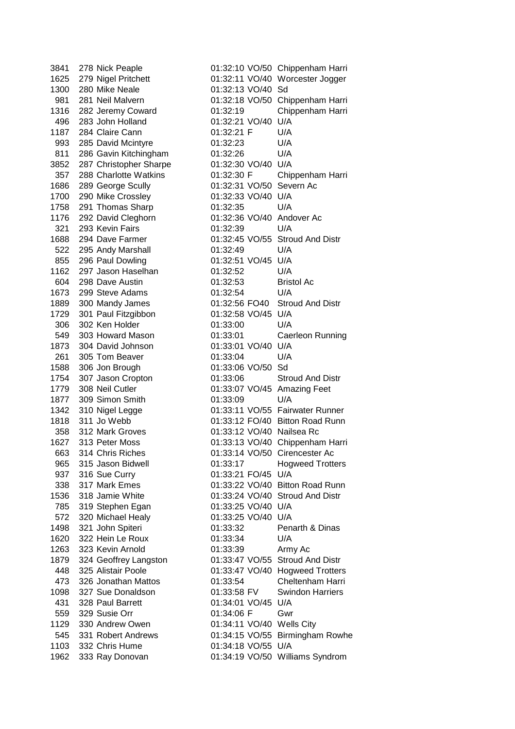1300 280 Mike Neale 01:32:13 VO/40 Sd 496 283 John Holland 01:32:21 VO/40 U/A 1187 284 Claire Cann 01:32:21 F U/A 993 285 David Mcintyre 01:32:23 U/A 811 286 Gavin Kitchingham 01:32:26 U/A 3852 287 Christopher Sharpe 01:32:30 VO/40 U/A 1686 289 George Scully 01:32:31 VO/50 Severn Ac 1700 290 Mike Crossley 01:32:33 VO/40 U/A 1758 291 Thomas Sharp 01:32:35 U/A 1176 292 David Cleghorn 01:32:36 VO/40 Andover Ac 321 293 Kevin Fairs 01:32:39 U/A 522 295 Andy Marshall 01:32:49 U/A 855 296 Paul Dowling 01:32:51 VO/45 U/A 1162 297 Jason Haselhan 01:32:52 U/A 604 298 Dave Austin 01:32:53 Bristol Ac 1673 299 Steve Adams 01:32:54 U/A 1729 301 Paul Fitzgibbon 01:32:58 VO/45 U/A 306 302 Ken Holder 01:33:00 U/A 1873 304 David Johnson 01:33:01 VO/40 U/A 261 305 Tom Beaver 01:33:04 U/A 1588 306 Jon Brough 01:33:06 VO/50 Sd 1877 309 Simon Smith 01:33:09 U/A 358 312 Mark Groves 01:33:12 VO/40 Nailsea Rc 937 316 Sue Curry 01:33:21 FO/45 U/A 785 319 Stephen Egan 01:33:25 VO/40 U/A 572 320 Michael Healy 01:33:25 VO/40 U/A 1620 322 Hein Le Roux 01:33:34 U/A 1263 323 Kevin Arnold 01:33:39 Army Ac 431 328 Paul Barrett 01:34:01 VO/45 U/A 559 329 Susie Orr 01:34:06 F Gwr 1129 330 Andrew Owen 01:34:11 VO/40 Wells City 1103 332 Chris Hume 01:34:18 VO/55 U/A

3841 278 Nick Peaple 01:32:10 VO/50 Chippenham Harri 1625 279 Nigel Pritchett 01:32:11 VO/40 Worcester Jogger 981 281 Neil Malvern 01:32:18 VO/50 Chippenham Harri 1316 282 Jeremy Coward 01:32:19 Chippenham Harri 357 288 Charlotte Watkins 01:32:30 F Chippenham Harri 1688 294 Dave Farmer 01:32:45 VO/55 Stroud And Distr 1889 300 Mandy James 01:32:56 FO40 Stroud And Distr 549 303 Howard Mason 01:33:01 Caerleon Running 1754 307 Jason Cropton 01:33:06 Stroud And Distr 1779 308 Neil Cutler 01:33:07 VO/45 Amazing Feet 1342 310 Nigel Legge 01:33:11 VO/55 Fairwater Runner 1818 311 Jo Webb 01:33:12 FO/40 Bitton Road Runn 1627 313 Peter Moss 01:33:13 VO/40 Chippenham Harri 663 314 Chris Riches 01:33:14 VO/50 Cirencester Ac 965 315 Jason Bidwell 01:33:17 Hogweed Trotters 338 317 Mark Emes 01:33:22 VO/40 Bitton Road Runn 1536 318 Jamie White 01:33:24 VO/40 Stroud And Distr 1498 321 John Spiteri 01:33:32 Penarth & Dinas 1879 324 Geoffrey Langston 01:33:47 VO/55 Stroud And Distr 448 325 Alistair Poole 01:33:47 VO/40 Hogweed Trotters 473 326 Jonathan Mattos 01:33:54 Cheltenham Harri 1098 327 Sue Donaldson 01:33:58 FV Swindon Harriers 545 331 Robert Andrews 01:34:15 VO/55 Birmingham Rowhe 1962 333 Ray Donovan 01:34:19 VO/50 Williams Syndrom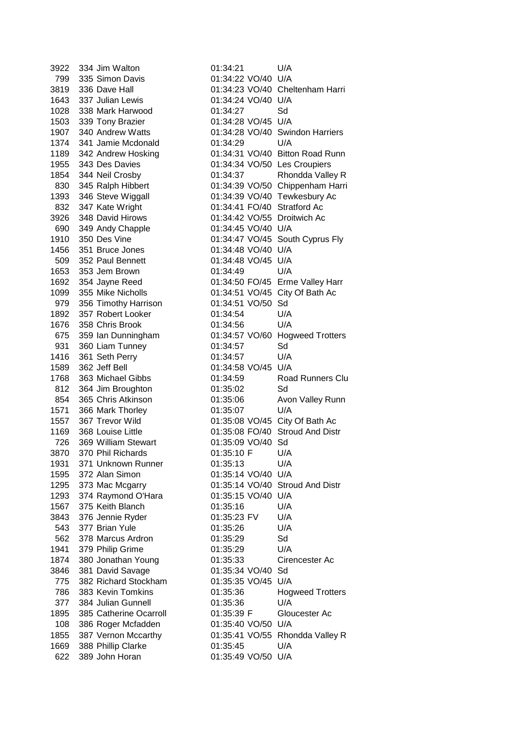3922 334 Jim Walton 01:34:21 U/A 799 335 Simon Davis 01:34:22 VO/40 U/A 1643 337 Julian Lewis 01:34:24 VO/40 U/A 1028 338 Mark Harwood 01:34:27 Sd 1503 339 Tony Brazier 01:34:28 VO/45 U/A 1907 340 Andrew Watts 01:34:28 VO/40 Swindon Harriers 1374 341 Jamie Mcdonald 01:34:29 U/A 1955 343 Des Davies 01:34:34 VO/50 Les Croupiers 1393 346 Steve Wiggall 01:34:39 VO/40 Tewkesbury Ac 832 347 Kate Wright 01:34:41 FO/40 Stratford Ac 3926 348 David Hirows 01:34:42 VO/55 Droitwich Ac 690 349 Andy Chapple 01:34:45 VO/40 U/A 1910 350 Des Vine 01:34:47 VO/45 South Cyprus Fly 1456 351 Bruce Jones 01:34:48 VO/40 U/A 509 352 Paul Bennett 01:34:48 VO/45 U/A 1653 353 Jem Brown 01:34:49 U/A 1692 354 Jayne Reed 01:34:50 FO/45 Erme Valley Harr 1099 355 Mike Nicholls 01:34:51 VO/45 City Of Bath Ac 979 356 Timothy Harrison 01:34:51 VO/50 Sd 1892 357 Robert Looker 01:34:54 U/A 1676 358 Chris Brook 01:34:56 U/A 931 360 Liam Tunney 01:34:57 Sd 1416 361 Seth Perry 01:34:57 U/A 1589 362 Jeff Bell 01:34:58 VO/45 U/A 812 364 Jim Broughton 01:35:02 Sd 1571 366 Mark Thorley 01:35:07 U/A 1557 367 Trevor Wild 01:35:08 VO/45 City Of Bath Ac 1169 368 Louise Little 01:35:08 FO/40 Stroud And Distr 726 369 William Stewart 01:35:09 VO/40 Sd 3870 370 Phil Richards 01:35:10 F U/A 1931 371 Unknown Runner 01:35:13 U/A 1595 372 Alan Simon 01:35:14 VO/40 U/A 1295 373 Mac Mcgarry 01:35:14 VO/40 Stroud And Distr 1293 374 Raymond O'Hara 01:35:15 VO/40 U/A 1567 375 Keith Blanch 01:35:16 U/A 3843 376 Jennie Ryder 01:35:23 FV U/A 543 377 Brian Yule 01:35:26 U/A 562 378 Marcus Ardron 01:35:29 Sd 1941 379 Philip Grime 01:35:29 U/A 1874 380 Jonathan Young 01:35:33 Cirencester Ac 3846 381 David Savage 01:35:34 VO/40 Sd 775 382 Richard Stockham 01:35:35 VO/45 U/A 377 384 Julian Gunnell 01:35:36 U/A 1895 385 Catherine Ocarroll 01:35:39 F Gloucester Ac 108 386 Roger Mcfadden 01:35:40 VO/50 U/A 1669 388 Phillip Clarke 01:35:45 U/A 622 389 John Horan 01:35:49 VO/50 U/A

3819 336 Dave Hall 01:34:23 VO/40 Cheltenham Harri 1189 342 Andrew Hosking 01:34:31 VO/40 Bitton Road Runn 1854 344 Neil Crosby 01:34:37 Rhondda Valley R 830 345 Ralph Hibbert 01:34:39 VO/50 Chippenham Harri 675 359 Ian Dunningham 01:34:57 VO/60 Hogweed Trotters 1768 363 Michael Gibbs 01:34:59 Road Runners Clu 854 365 Chris Atkinson 01:35:06 Avon Valley Runn 786 383 Kevin Tomkins 01:35:36 Hogweed Trotters 1855 387 Vernon Mccarthy 01:35:41 VO/55 Rhondda Valley R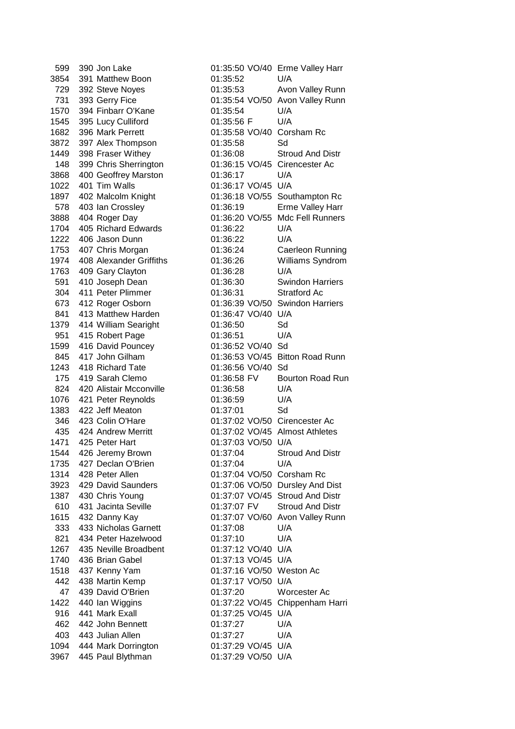3854 391 Matthew Boon 01:35:52 U/A 1570 394 Finbarr O'Kane 01:35:54 U/A 1545 395 Lucy Culliford 01:35:56 F U/A 1682 396 Mark Perrett 01:35:58 VO/40 Corsham Rc 3872 397 Alex Thompson 01:35:58 Sd 3868 400 Geoffrey Marston 01:36:17 U/A 1022 401 Tim Walls 01:36:17 VO/45 U/A 1704 405 Richard Edwards 01:36:22 U/A 1222 406 Jason Dunn 01:36:22 U/A 1763 409 Gary Clayton 01:36:28 U/A 304 411 Peter Plimmer 01:36:31 Stratford Ac 841 413 Matthew Harden 01:36:47 VO/40 U/A 1379 414 William Searight 01:36:50 Sd 951 415 Robert Page 01:36:51 U/A 1599 416 David Pouncey 01:36:52 VO/40 Sd 1243 418 Richard Tate 01:36:56 VO/40 Sd 824 420 Alistair Mcconville 01:36:58 U/A 1076 421 Peter Reynolds 01:36:59 U/A 1383 422 Jeff Meaton 01:37:01 Sd 1471 425 Peter Hart 01:37:03 VO/50 U/A 1735 427 Declan O'Brien 01:37:04 U/A 1314 428 Peter Allen 01:37:04 VO/50 Corsham Rc 333 433 Nicholas Garnett 01:37:08 U/A 821 434 Peter Hazelwood 01:37:10 U/A 1267 435 Neville Broadbent 01:37:12 VO/40 U/A 1740 436 Brian Gabel 01:37:13 VO/45 U/A 1518 437 Kenny Yam 01:37:16 VO/50 Weston Ac 442 438 Martin Kemp 01:37:17 VO/50 U/A 916 441 Mark Exall 01:37:25 VO/45 U/A 462 442 John Bennett 01:37:27 U/A 403 443 Julian Allen 01:37:27 U/A 1094 444 Mark Dorrington 01:37:29 VO/45 U/A 3967 445 Paul Blythman 01:37:29 VO/50 U/A

599 390 Jon Lake 01:35:50 VO/40 Erme Valley Harr 729 392 Steve Noyes 01:35:53 Avon Valley Runn 731 393 Gerry Fice 01:35:54 VO/50 Avon Valley Runn 1449 398 Fraser Withey 01:36:08 Stroud And Distr 148 399 Chris Sherrington 01:36:15 VO/45 Cirencester Ac 1897 402 Malcolm Knight 01:36:18 VO/55 Southampton Rc 578 403 Ian Crossley 01:36:19 Erme Valley Harr 3888 404 Roger Day 01:36:20 VO/55 Mdc Fell Runners 1753 407 Chris Morgan 01:36:24 Caerleon Running 1974 408 Alexander Griffiths 01:36:26 Williams Syndrom 591 410 Joseph Dean 01:36:30 Swindon Harriers 673 412 Roger Osborn 01:36:39 VO/50 Swindon Harriers 845 417 John Gilham 01:36:53 VO/45 Bitton Road Runn 175 419 Sarah Clemo 01:36:58 FV Bourton Road Run 346 423 Colin O'Hare 01:37:02 VO/50 Cirencester Ac 435 424 Andrew Merritt 01:37:02 VO/45 Almost Athletes 1544 426 Jeremy Brown 01:37:04 Stroud And Distr 3923 429 David Saunders 01:37:06 VO/50 Dursley And Dist 1387 430 Chris Young 01:37:07 VO/45 Stroud And Distr 610 431 Jacinta Seville 01:37:07 FV Stroud And Distr 1615 432 Danny Kay 01:37:07 VO/60 Avon Valley Runn 47 439 David O'Brien 01:37:20 Worcester Ac 1422 440 Ian Wiggins 01:37:22 VO/45 Chippenham Harri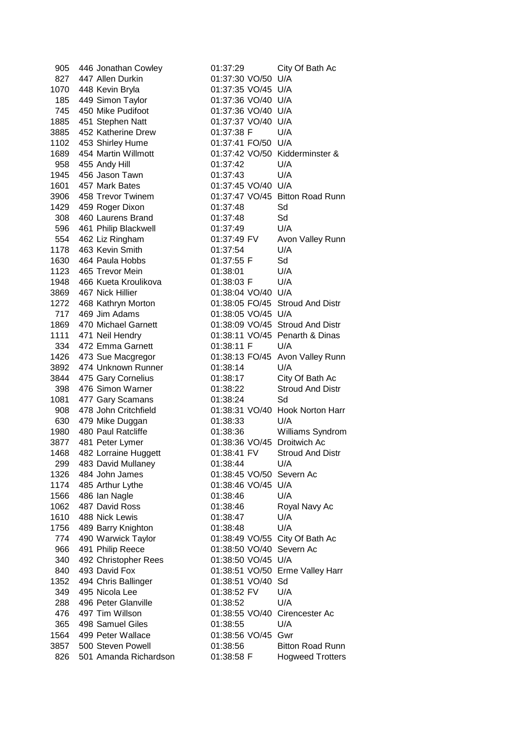| 905         | 446 Jonathan Cowley                   | 01:37:29                                  | City Of Bath Ac                 |
|-------------|---------------------------------------|-------------------------------------------|---------------------------------|
| 827         | 447 Allen Durkin                      | 01:37:30 VO/50 U/A                        |                                 |
| 1070        | 448 Kevin Bryla                       | 01:37:35 VO/45 U/A                        |                                 |
| 185         | 449 Simon Taylor                      | 01:37:36 VO/40 U/A                        |                                 |
| 745         | 450 Mike Pudifoot                     | 01:37:36 VO/40 U/A                        |                                 |
| 1885        | 451 Stephen Natt                      | 01:37:37 VO/40 U/A                        |                                 |
| 3885        | 452 Katherine Drew                    | 01:37:38 F                                | U/A                             |
| 1102        | 453 Shirley Hume                      | 01:37:41 FO/50 U/A                        |                                 |
| 1689        | 454 Martin Willmott                   | 01:37:42 VO/50 Kidderminster &            |                                 |
| 958         | 455 Andy Hill                         | 01:37:42                                  | U/A                             |
| 1945        | 456 Jason Tawn                        | 01:37:43                                  | U/A                             |
| 1601        | 457 Mark Bates                        | 01:37:45 VO/40 U/A                        |                                 |
| 3906        | 458 Trevor Twinem                     |                                           | 01:37:47 VO/45 Bitton Road Runn |
| 1429        | 459 Roger Dixon                       | 01:37:48                                  | Sd                              |
| 308         | 460 Laurens Brand                     | 01:37:48                                  | Sd                              |
| 596         | 461 Philip Blackwell                  | 01:37:49                                  | U/A                             |
| 554         | 462 Liz Ringham                       | 01:37:49 FV                               | Avon Valley Runn                |
| 1178        | 463 Kevin Smith                       | 01:37:54                                  | U/A                             |
| 1630        | 464 Paula Hobbs                       | 01:37:55 F                                | Sd                              |
| 1123        | 465 Trevor Mein                       | 01:38:01                                  | U/A                             |
| 1948        | 466 Kueta Kroulikova                  | 01:38:03 F                                | U/A                             |
| 3869        | 467 Nick Hillier                      | 01:38:04 VO/40 U/A                        |                                 |
| 1272        | 468 Kathryn Morton                    |                                           | 01:38:05 FO/45 Stroud And Distr |
| 717         | 469 Jim Adams                         | 01:38:05 VO/45 U/A                        |                                 |
| 1869        | 470 Michael Garnett                   |                                           | 01:38:09 VO/45 Stroud And Distr |
| 1111        | 471 Neil Hendry                       |                                           | 01:38:11 VO/45 Penarth & Dinas  |
| 334         | 472 Emma Garnett                      | 01:38:11 F                                | U/A                             |
| 1426        | 473 Sue Macgregor                     |                                           | 01:38:13 FO/45 Avon Valley Runn |
| 3892        | 474 Unknown Runner                    | 01:38:14                                  | U/A                             |
| 3844        | 475 Gary Cornelius                    | 01:38:17                                  | City Of Bath Ac                 |
| 398         | 476 Simon Warner                      | 01:38:22                                  | <b>Stroud And Distr</b>         |
| 1081        | 477 Gary Scamans                      | 01:38:24                                  | Sd                              |
| 908         | 478 John Critchfield                  |                                           | 01:38:31 VO/40 Hook Norton Harr |
| 630         | 479 Mike Duggan                       | 01:38:33                                  | U/A                             |
| 1980        | 480 Paul Ratcliffe                    | 01:38:36                                  | Williams Syndrom                |
| 3877        | 481 Peter Lymer                       | 01:38:36 VO/45 Droitwich Ac               |                                 |
| 1468        | 482 Lorraine Huggett                  | 01:38:41 FV                               | <b>Stroud And Distr</b>         |
| 299         | 483 David Mullaney                    | 01:38:44                                  | U/A                             |
| 1326        | 484 John James                        | 01:38:45 VO/50 Severn Ac                  |                                 |
| 1174        | 485 Arthur Lythe                      | 01:38:46 VO/45 U/A                        |                                 |
| 1566        | 486 Ian Nagle                         | 01:38:46                                  | U/A                             |
| 1062        | 487 David Ross                        | 01:38:46                                  | Royal Navy Ac                   |
| 1610        | 488 Nick Lewis                        | 01:38:47                                  | U/A                             |
| 1756        | 489 Barry Knighton                    | 01:38:48                                  | U/A                             |
| 774         | 490 Warwick Taylor                    | 01:38:49 VO/55 City Of Bath Ac            |                                 |
| 966         | 491 Philip Reece                      | 01:38:50 VO/40 Severn Ac                  |                                 |
| 340         | 492 Christopher Rees                  | 01:38:50 VO/45 U/A                        |                                 |
| 840         | 493 David Fox                         |                                           | 01:38:51 VO/50 Erme Valley Harr |
|             |                                       |                                           |                                 |
| 1352<br>349 | 494 Chris Ballinger<br>495 Nicola Lee | 01:38:51 VO/40 Sd<br>01:38:52 FV          | U/A                             |
|             | 496 Peter Glanville                   |                                           | U/A                             |
| 288<br>476  | 497 Tim Willson                       | 01:38:52<br>01:38:55 VO/40 Cirencester Ac |                                 |
| 365         | 498 Samuel Giles                      | 01:38:55                                  | U/A                             |
|             |                                       |                                           |                                 |
| 1564        | 499 Peter Wallace                     | 01:38:56 VO/45 Gwr                        |                                 |
| 3857        | 500 Steven Powell                     | 01:38:56                                  | <b>Bitton Road Runn</b>         |
| 826         | 501 Amanda Richardson                 | 01:38:58 F                                | <b>Hogweed Trotters</b>         |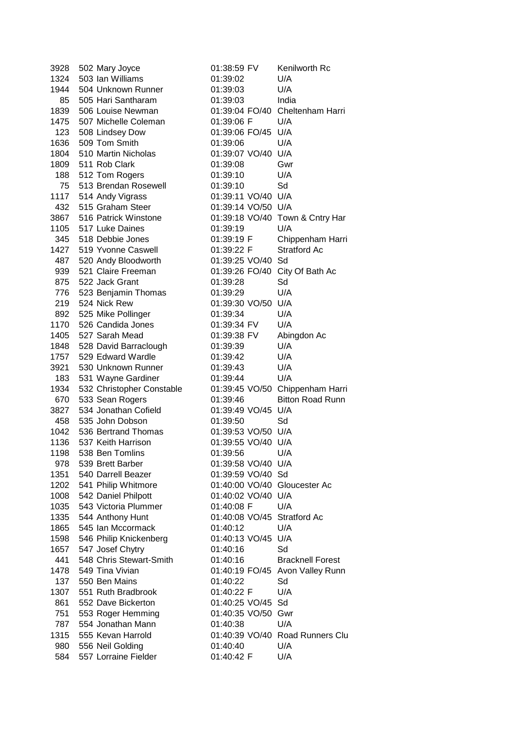| 3928        | 502 Mary Joyce                             | 01:38:59 FV                    | Kenilworth Rc                          |
|-------------|--------------------------------------------|--------------------------------|----------------------------------------|
| 1324        | 503 Ian Williams                           | 01:39:02                       | U/A                                    |
| 1944        | 504 Unknown Runner                         | 01:39:03                       | U/A                                    |
| 85          | 505 Hari Santharam                         | 01:39:03                       | India                                  |
| 1839        | 506 Louise Newman                          |                                | 01:39:04 FO/40 Cheltenham Harri        |
| 1475        | 507 Michelle Coleman                       | 01:39:06 F                     | U/A                                    |
| 123         | 508 Lindsey Dow                            | 01:39:06 FO/45 U/A             |                                        |
| 1636        | 509 Tom Smith                              | 01:39:06                       | U/A                                    |
| 1804        | 510 Martin Nicholas                        | 01:39:07 VO/40 U/A             |                                        |
| 1809        | 511 Rob Clark                              | 01:39:08                       | Gwr                                    |
| 188         | 512 Tom Rogers                             | 01:39:10                       | U/A                                    |
| 75          | 513 Brendan Rosewell                       | 01:39:10                       | Sd                                     |
| 1117        | 514 Andy Vigrass                           | 01:39:11 VO/40 U/A             |                                        |
| 432         | 515 Graham Steer                           | 01:39:14 VO/50 U/A             |                                        |
| 3867        | 516 Patrick Winstone                       |                                | 01:39:18 VO/40 Town & Cntry Har        |
| 1105        | 517 Luke Daines                            | 01:39:19                       | U/A                                    |
| 345         | 518 Debbie Jones                           | 01:39:19 F                     | Chippenham Harri                       |
| 1427        | 519 Yvonne Caswell                         | 01:39:22 F                     | <b>Stratford Ac</b>                    |
| 487         | 520 Andy Bloodworth                        | 01:39:25 VO/40 Sd              |                                        |
| 939         | 521 Claire Freeman                         | 01:39:26 FO/40 City Of Bath Ac |                                        |
| 875         | 522 Jack Grant                             | 01:39:28                       | Sd                                     |
| 776         | 523 Benjamin Thomas                        | 01:39:29                       | U/A                                    |
| 219         | 524 Nick Rew                               | 01:39:30 VO/50 U/A             |                                        |
|             | 892 525 Mike Pollinger                     | 01:39:34                       | U/A                                    |
| 1170        | 526 Candida Jones                          | 01:39:34 FV                    | U/A                                    |
| 1405        | 527 Sarah Mead                             | 01:39:38 FV                    | Abingdon Ac                            |
| 1848        | 528 David Barraclough                      | 01:39:39                       | U/A                                    |
| 1757        | 529 Edward Wardle                          | 01:39:42                       | U/A                                    |
| 3921        | 530 Unknown Runner                         | 01:39:43                       | U/A                                    |
| 183         | 531 Wayne Gardiner                         | 01:39:44                       | U/A                                    |
| 1934        | 532 Christopher Constable                  |                                | 01:39:45 VO/50 Chippenham Harri        |
| 670         | 533 Sean Rogers                            | 01:39:46                       | <b>Bitton Road Runn</b>                |
| 3827        | 534 Jonathan Cofield                       | 01:39:49 VO/45 U/A             |                                        |
| 458         | 535 John Dobson                            | 01:39:50                       | Sd                                     |
| 1042        | 536 Bertrand Thomas                        | 01:39:53 VO/50 U/A             |                                        |
| 1136        | 537 Keith Harrison                         | 01:39:55 VO/40 U/A             |                                        |
| 1198        | 538 Ben Tomlins                            | 01:39:56                       | U/A                                    |
| 978         | 539 Brett Barber                           | 01:39:58 VO/40 U/A             |                                        |
| 1351        | 540 Darrell Beazer                         | 01:39:59 VO/40                 | Sd                                     |
| 1202        | 541 Philip Whitmore                        | 01:40:00 VO/40 Gloucester Ac   |                                        |
| 1008        | 542 Daniel Philpott                        | 01:40:02 VO/40 U/A             |                                        |
| 1035        | 543 Victoria Plummer                       | 01:40:08 F                     | U/A                                    |
| 1335        |                                            |                                |                                        |
| 1865        |                                            |                                |                                        |
| 1598        | 544 Anthony Hunt                           | 01:40:08 VO/45 Stratford Ac    |                                        |
| 1657        | 545 Ian Mccormack                          | 01:40:12                       | U/A                                    |
|             | 546 Philip Knickenberg                     | 01:40:13 VO/45 U/A             |                                        |
|             | 547 Josef Chytry                           | 01:40:16                       | Sd                                     |
| 441         | 548 Chris Stewart-Smith<br>549 Tina Vivian | 01:40:16                       | <b>Bracknell Forest</b>                |
| 1478        | 550 Ben Mains                              |                                | 01:40:19 FO/45 Avon Valley Runn        |
| 137         | 551 Ruth Bradbrook                         | 01:40:22                       | Sd                                     |
| 1307        |                                            | 01:40:22 F                     | U/A                                    |
| 861         | 552 Dave Bickerton                         | 01:40:25 VO/45 Sd              |                                        |
| 751         | 553 Roger Hemming<br>554 Jonathan Mann     | 01:40:35 VO/50 Gwr             | U/A                                    |
| 787         | 555 Kevan Harrold                          | 01:40:38                       |                                        |
| 1315<br>980 | 556 Neil Golding                           | 01:40:40                       | 01:40:39 VO/40 Road Runners Clu<br>U/A |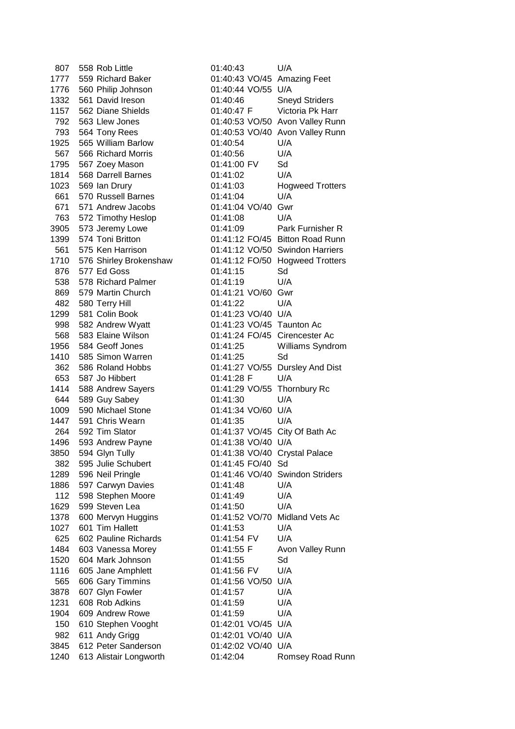807 558 Rob Little 01:40:43 U/A 1776 560 Philip Johnson 01:40:44 VO/55 U/A 1925 565 William Barlow 01:40:54 U/A 567 566 Richard Morris 01:40:56 U/A 1795 567 Zoey Mason 01:41:00 FV Sd 1814 568 Darrell Barnes 01:41:02 U/A 661 570 Russell Barnes 01:41:04 U/A 671 571 Andrew Jacobs 01:41:04 VO/40 Gwr 763 572 Timothy Heslop 01:41:08 U/A 876 577 Ed Goss 01:41:15 Sd 538 578 Richard Palmer 01:41:19 U/A 869 579 Martin Church 01:41:21 VO/60 Gwr 482 580 Terry Hill 01:41:22 U/A 1299 581 Colin Book 01:41:23 VO/40 U/A 998 582 Andrew Wyatt 01:41:23 VO/45 Taunton Ac 1410 585 Simon Warren 01:41:25 Sd 653 587 Jo Hibbert 01:41:28 F U/A 644 589 Guy Sabey 01:41:30 U/A 1009 590 Michael Stone 01:41:34 VO/60 U/A 1447 591 Chris Wearn 01:41:35 U/A 1496 593 Andrew Payne 01:41:38 VO/40 U/A 382 595 Julie Schubert 01:41:45 FO/40 Sd 1886 597 Carwyn Davies 01:41:48 U/A 112 598 Stephen Moore 01:41:49 U/A 1629 599 Steven Lea 01:41:50 U/A 1027 601 Tim Hallett 01:41:53 U/A 625 602 Pauline Richards 01:41:54 FV U/A 1520 604 Mark Johnson 01:41:55 Sd 1116 605 Jane Amphlett 01:41:56 FV U/A 565 606 Gary Timmins 01:41:56 VO/50 U/A 3878 607 Glyn Fowler 01:41:57 U/A 1231 608 Rob Adkins 01:41:59 U/A 1904 609 Andrew Rowe 01:41:59 U/A 150 610 Stephen Vooght 01:42:01 VO/45 U/A 982 611 Andy Grigg 01:42:01 VO/40 U/A 3845 612 Peter Sanderson 01:42:02 VO/40 U/A

1777 559 Richard Baker 01:40:43 VO/45 Amazing Feet 1332 561 David Ireson 01:40:46 Sneyd Striders 1157 562 Diane Shields 01:40:47 F Victoria Pk Harr 792 563 Llew Jones 01:40:53 VO/50 Avon Valley Runn 793 564 Tony Rees 01:40:53 VO/40 Avon Valley Runn 1023 569 Ian Drury 01:41:03 Hogweed Trotters 3905 573 Jeremy Lowe 01:41:09 Park Furnisher R 1399 574 Toni Britton 01:41:12 FO/45 Bitton Road Runn 561 575 Ken Harrison 01:41:12 VO/50 Swindon Harriers 1710 576 Shirley Brokenshaw 01:41:12 FO/50 Hogweed Trotters 568 583 Elaine Wilson 01:41:24 FO/45 Cirencester Ac 1956 584 Geoff Jones 01:41:25 Williams Syndrom 362 586 Roland Hobbs 01:41:27 VO/55 Dursley And Dist 1414 588 Andrew Sayers 01:41:29 VO/55 Thornbury Rc 264 592 Tim Slator 01:41:37 VO/45 City Of Bath Ac 3850 594 Glyn Tully 01:41:38 VO/40 Crystal Palace 1289 596 Neil Pringle 01:41:46 VO/40 Swindon Striders 1378 600 Mervyn Huggins 01:41:52 VO/70 Midland Vets Ac 1484 603 Vanessa Morey 01:41:55 F Avon Valley Runn 1240 613 Alistair Longworth 01:42:04 Romsey Road Runn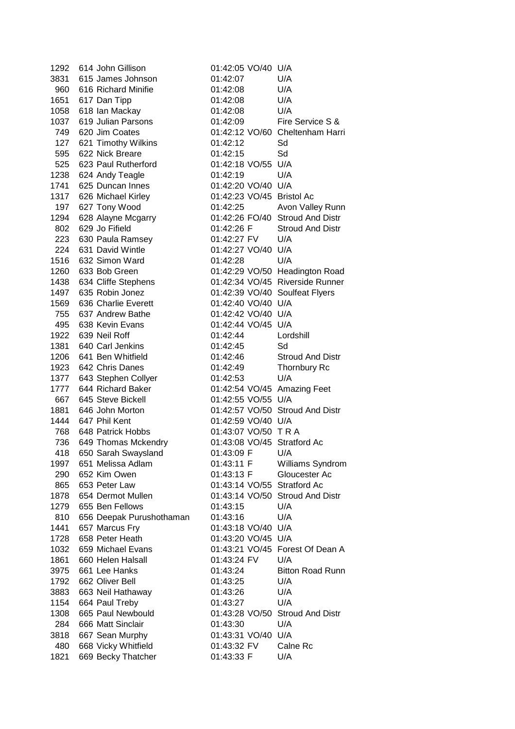1292 614 John Gillison 01:42:05 VO/40 U/A 3831 615 James Johnson 01:42:07 U/A 960 616 Richard Minifie 01:42:08 U/A 1651 617 Dan Tipp 01:42:08 U/A 1058 618 Ian Mackay 01:42:08 U/A 1037 619 Julian Parsons 01:42:09 Fire Service S & 749 620 Jim Coates 01:42:12 VO/60 Cheltenham Harri 127 621 Timothy Wilkins 01:42:12 Sd 595 622 Nick Breare 01:42:15 Sd 525 623 Paul Rutherford 01:42:18 VO/55 U/A 1238 624 Andy Teagle 01:42:19 U/A 1741 625 Duncan Innes 01:42:20 VO/40 U/A 1317 626 Michael Kirley 01:42:23 VO/45 Bristol Ac 197 627 Tony Wood 01:42:25 Avon Valley Runn 1294 628 Alayne Mcgarry 01:42:26 FO/40 Stroud And Distr 802 629 Jo Fifield 01:42:26 F Stroud And Distr 223 630 Paula Ramsey 01:42:27 FV U/A 224 631 David Wintle 01:42:27 VO/40 U/A 1516 632 Simon Ward 01:42:28 U/A 1260 633 Bob Green 01:42:29 VO/50 Headington Road 1438 634 Cliffe Stephens 01:42:34 VO/45 Riverside Runner 1497 635 Robin Jonez 01:42:39 VO/40 Soulfeat Flyers 1569 636 Charlie Everett 01:42:40 VO/40 U/A 755 637 Andrew Bathe 01:42:42 VO/40 U/A 495 638 Kevin Evans 01:42:44 VO/45 U/A 1922 639 Neil Roff 01:42:44 Lordshill 1381 640 Carl Jenkins 01:42:45 Sd 1206 641 Ben Whitfield 01:42:46 Stroud And Distr 1923 642 Chris Danes 01:42:49 Thornbury Rc 1377 643 Stephen Collyer 01:42:53 U/A 1777 644 Richard Baker 01:42:54 VO/45 Amazing Feet 667 645 Steve Bickell 01:42:55 VO/55 U/A 1881 646 John Morton 01:42:57 VO/50 Stroud And Distr 1444 647 Phil Kent 01:42:59 VO/40 U/A 768 648 Patrick Hobbs 01:43:07 VO/50 T R A 736 649 Thomas Mckendry 01:43:08 VO/45 Stratford Ac 418 650 Sarah Swaysland 01:43:09 F U/A 1997 651 Melissa Adlam 01:43:11 F Williams Syndrom 290 652 Kim Owen 01:43:13 F Gloucester Ac 865 653 Peter Law 01:43:14 VO/55 Stratford Ac 1878 654 Dermot Mullen 01:43:14 VO/50 Stroud And Distr 1279 655 Ben Fellows 01:43:15 U/A 810 656 Deepak Purushothaman 01:43:16 U/A 1441 657 Marcus Fry 01:43:18 VO/40 U/A 1728 658 Peter Heath 01:43:20 VO/45 U/A 1032 659 Michael Evans 01:43:21 VO/45 Forest Of Dean A 1861 660 Helen Halsall 01:43:24 FV U/A 3975 661 Lee Hanks 01:43:24 Bitton Road Runn 1792 662 Oliver Bell 01:43:25 U/A 3883 663 Neil Hathaway 01:43:26 U/A 1154 664 Paul Treby 01:43:27 U/A 1308 665 Paul Newbould 01:43:28 VO/50 Stroud And Distr 284 666 Matt Sinclair 01:43:30 U/A 3818 667 Sean Murphy 01:43:31 VO/40 U/A 480 668 Vicky Whitfield 01:43:32 FV Calne Rc 1821 669 Becky Thatcher 01:43:33 F U/A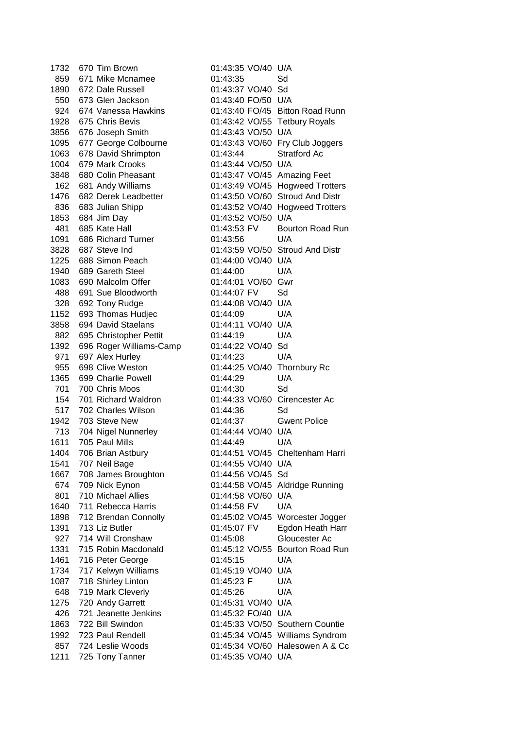1732 670 Tim Brown 01:43:35 VO/40 U/A 859 671 Mike Mcnamee 01:43:35 Sd 1890 672 Dale Russell 01:43:37 VO/40 Sd 550 673 Glen Jackson 01:43:40 FO/50 U/A 924 674 Vanessa Hawkins 01:43:40 FO/45 Bitton Road Runn 1928 675 Chris Bevis 01:43:42 VO/55 Tetbury Royals 3856 676 Joseph Smith 01:43:43 VO/50 U/A 1095 677 George Colbourne 01:43:43 VO/60 Fry Club Joggers 1063 678 David Shrimpton 01:43:44 Stratford Ac 1004 679 Mark Crooks 01:43:44 VO/50 U/A 3848 680 Colin Pheasant 01:43:47 VO/45 Amazing Feet 162 681 Andy Williams 01:43:49 VO/45 Hogweed Trotters 1476 682 Derek Leadbetter 01:43:50 VO/60 Stroud And Distr 836 683 Julian Shipp 01:43:52 VO/40 Hogweed Trotters 1853 684 Jim Day 01:43:52 VO/50 U/A 481 685 Kate Hall 01:43:53 FV Bourton Road Run 1091 686 Richard Turner 01:43:56 U/A 3828 687 Steve Ind 01:43:59 VO/50 Stroud And Distr 1225 688 Simon Peach 01:44:00 VO/40 U/A 1940 689 Gareth Steel 01:44:00 U/A 1083 690 Malcolm Offer 01:44:01 VO/60 Gwr 488 691 Sue Bloodworth 01:44:07 FV Sd 328 692 Tony Rudge 01:44:08 VO/40 U/A 1152 693 Thomas Hudjec 01:44:09 U/A 3858 694 David Staelans 01:44:11 VO/40 U/A 882 695 Christopher Pettit 01:44:19 U/A 1392 696 Roger Williams-Camp 01:44:22 VO/40 Sd 971 697 Alex Hurley 01:44:23 U/A 955 698 Clive Weston 01:44:25 VO/40 Thornbury Rc 1365 699 Charlie Powell 01:44:29 U/A 701 700 Chris Moos 01:44:30 Sd 154 701 Richard Waldron 01:44:33 VO/60 Cirencester Ac 517 702 Charles Wilson 01:44:36 Sd 1942 703 Steve New 01:44:37 Gwent Police 713 704 Nigel Nunnerley 01:44:44 VO/40 U/A 1611 705 Paul Mills 01:44:49 U/A 1404 706 Brian Astbury 01:44:51 VO/45 Cheltenham Harri 1541 707 Neil Bage 01:44:55 VO/40 U/A 1667 708 James Broughton 01:44:56 VO/45 Sd 674 709 Nick Eynon 01:44:58 VO/45 Aldridge Running 801 710 Michael Allies 01:44:58 VO/60 U/A 1640 711 Rebecca Harris 01:44:58 FV U/A 1898 712 Brendan Connolly 01:45:02 VO/45 Worcester Jogger 1391 713 Liz Butler 01:45:07 FV Egdon Heath Harr 927 714 Will Cronshaw 01:45:08 Gloucester Ac 1331 715 Robin Macdonald 01:45:12 VO/55 Bourton Road Run 1461 716 Peter George 01:45:15 U/A 1734 717 Kelwyn Williams 01:45:19 VO/40 U/A 1087 718 Shirley Linton 01:45:23 F U/A 648 719 Mark Cleverly 01:45:26 U/A 1275 720 Andy Garrett 01:45:31 VO/40 U/A 426 721 Jeanette Jenkins 01:45:32 FO/40 U/A 1863 722 Bill Swindon 01:45:33 VO/50 Southern Countie 1992 723 Paul Rendell 01:45:34 VO/45 Williams Syndrom 857 724 Leslie Woods 01:45:34 VO/60 Halesowen A & Cc 1211 725 Tony Tanner 01:45:35 VO/40 U/A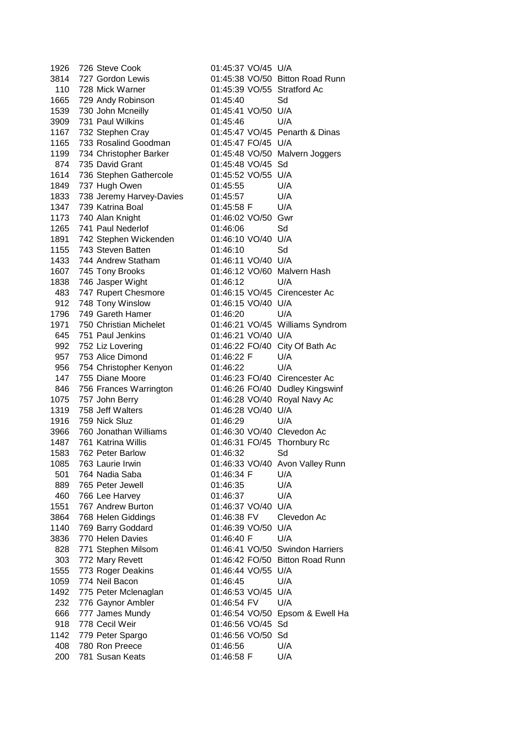1926 726 Steve Cook 01:45:37 VO/45 U/A 3814 727 Gordon Lewis 01:45:38 VO/50 Bitton Road Runn 110 728 Mick Warner 01:45:39 VO/55 Stratford Ac 1665 729 Andy Robinson 01:45:40 Sd 1539 730 John Mcneilly 01:45:41 VO/50 U/A 3909 731 Paul Wilkins 01:45:46 U/A 1167 732 Stephen Cray 01:45:47 VO/45 Penarth & Dinas 1165 733 Rosalind Goodman 01:45:47 FO/45 U/A 1199 734 Christopher Barker 01:45:48 VO/50 Malvern Joggers 874 735 David Grant 01:45:48 VO/45 Sd 1614 736 Stephen Gathercole 01:45:52 VO/55 U/A 1849 737 Hugh Owen 01:45:55 U/A 1833 738 Jeremy Harvey-Davies 01:45:57 U/A 1347 739 Katrina Boal 01:45:58 F U/A 1173 740 Alan Knight 01:46:02 VO/50 Gwr 1265 741 Paul Nederlof 01:46:06 Sd 1891 742 Stephen Wickenden 1155 743 Steven Batten 01:46:10 Sd 1433 744 Andrew Statham 01:46:11 VO/40 U/A 1607 745 Tony Brooks 01:46:12 VO/60 Malvern Hash 1838 746 Jasper Wight 01:46:12 U/A 483 747 Rupert Chesmore 01:46:15 VO/45 Cirencester Ac 912 748 Tony Winslow 01:46:15 VO/40 U/A 1796 749 Gareth Hamer 01:46:20 U/A 1971 750 Christian Michelet 01:46:21 VO/45 Williams Syndrom 645 751 Paul Jenkins 01:46:21 VO/40 U/A 992 752 Liz Lovering 01:46:22 FO/40 City Of Bath Ac 957 753 Alice Dimond 01:46:22 F U/A 956 754 Christopher Kenyon 01:46:22 U/A 147 755 Diane Moore 01:46:23 FO/40 Cirencester Ac 846 756 Frances Warrington 01:46:26 FO/40 Dudley Kingswinf 1075 757 John Berry 01:46:28 VO/40 Royal Navy Ac 1319 758 Jeff Walters 01:46:28 VO/40 U/A 1916 759 Nick Sluz 01:46:29 U/A 3966 760 Jonathan Williams 01:46:30 VO/40 Clevedon Ac 1487 761 Katrina Willis 01:46:31 FO/45 Thornbury Rc 1583 762 Peter Barlow 01:46:32 Sd 1085 763 Laurie Irwin 01:46:33 VO/40 Avon Valley Runn 501 764 Nadia Saba 01:46:34 F U/A 889 765 Peter Jewell 01:46:35 U/A 460 766 Lee Harvey 01:46:37 U/A 1551 767 Andrew Burton 01:46:37 VO/40 U/A 3864 768 Helen Giddings 01:46:38 FV Clevedon Ac 1140 769 Barry Goddard 01:46:39 VO/50 U/A 3836 770 Helen Davies 01:46:40 F U/A 828 771 Stephen Milsom 01:46:41 VO/50 Swindon Harriers 303 772 Mary Revett 01:46:42 FO/50 Bitton Road Runn 1555 773 Roger Deakins 01:46:44 VO/55 U/A 1059 774 Neil Bacon 01:46:45 U/A 1492 775 Peter Mclenaglan 01:46:53 VO/45 U/A 232 776 Gaynor Ambler 01:46:54 FV U/A 666 777 James Mundy 01:46:54 VO/50 Epsom & Ewell Ha 918 778 Cecil Weir 01:46:56 VO/45 Sd 1142 779 Peter Spargo 01:46:56 VO/50 Sd 408 780 Ron Preece 01:46:56 U/A 200 781 Susan Keats 01:46:58 F U/A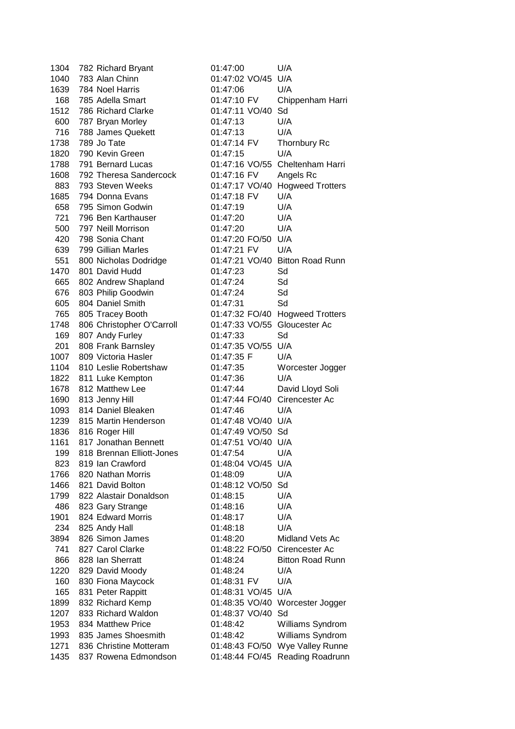| 1304         | 782 Richard Bryant                             | 01:47:00                         | U/A                                  |
|--------------|------------------------------------------------|----------------------------------|--------------------------------------|
| 1040         | 783 Alan Chinn                                 | 01:47:02 VO/45 U/A               |                                      |
| 1639         | 784 Noel Harris                                | 01:47:06                         | U/A                                  |
| 168          | 785 Adella Smart                               | 01:47:10 FV                      | Chippenham Harri                     |
| 1512         | 786 Richard Clarke                             | 01:47:11 VO/40                   | Sd                                   |
| 600          | 787 Bryan Morley                               | 01:47:13                         | U/A                                  |
| 716          | 788 James Quekett                              | 01:47:13                         | U/A                                  |
| 1738         | 789 Jo Tate                                    | 01:47:14 FV                      | <b>Thornbury Rc</b>                  |
| 1820         | 790 Kevin Green                                | 01:47:15                         | U/A                                  |
| 1788         | 791 Bernard Lucas                              |                                  | 01:47:16 VO/55 Cheltenham Harri      |
| 1608         | 792 Theresa Sandercock                         | 01:47:16 FV                      | Angels Rc                            |
| 883          | 793 Steven Weeks                               | 01:47:17 VO/40                   | <b>Hogweed Trotters</b>              |
| 1685         | 794 Donna Evans                                | 01:47:18 FV                      | U/A                                  |
| 658          | 795 Simon Godwin                               | 01:47:19                         | U/A                                  |
| 721          | 796 Ben Karthauser                             | 01:47:20                         | U/A                                  |
| 500          | 797 Neill Morrison                             | 01:47:20                         | U/A                                  |
| 420          | 798 Sonia Chant                                | 01:47:20 FO/50 U/A               |                                      |
| 639          | 799 Gillian Marles                             | 01:47:21 FV                      | U/A                                  |
| 551          | 800 Nicholas Dodridge                          |                                  | 01:47:21 VO/40 Bitton Road Runn      |
| 1470         | 801 David Hudd                                 | 01:47:23                         | Sd                                   |
| 665          | 802 Andrew Shapland                            | 01:47:24                         | Sd                                   |
| 676          | 803 Philip Goodwin                             | 01:47:24                         | Sd                                   |
| 605          | 804 Daniel Smith                               | 01:47:31                         | Sd                                   |
| 765          | 805 Tracey Booth                               |                                  | 01:47:32 FO/40 Hogweed Trotters      |
| 1748         | 806 Christopher O'Carroll                      | 01:47:33 VO/55 Gloucester Ac     |                                      |
| 169          | 807 Andy Furley                                | 01:47:33                         | Sd                                   |
| 201          | 808 Frank Barnsley                             | 01:47:35 VO/55 U/A               |                                      |
| 1007         | 809 Victoria Hasler                            | 01:47:35 F                       | U/A                                  |
| 1104         | 810 Leslie Robertshaw                          | 01:47:35                         | Worcester Jogger                     |
| 1822         | 811 Luke Kempton                               | 01:47:36                         | U/A                                  |
| 1678         | 812 Matthew Lee                                | 01:47:44                         | David Lloyd Soli                     |
| 1690         | 813 Jenny Hill                                 | 01:47:44 FO/40 Cirencester Ac    |                                      |
| 1093         | 814 Daniel Bleaken                             | 01:47:46                         | U/A                                  |
| 1239         | 815 Martin Henderson                           | 01:47:48 VO/40 U/A               |                                      |
| 1836         | 816 Roger Hill                                 | 01:47:49 VO/50 Sd                |                                      |
| 1161         | 817 Jonathan Bennett                           | 01:47:51 VO/40 U/A               |                                      |
| 199          | 818 Brennan Elliott-Jones                      | 01:47:54                         | U/A                                  |
| 823          | 819 Ian Crawford                               | 01:48:04 VO/45                   | U/A                                  |
| 1766         | 820 Nathan Morris                              | 01:48:09                         | U/A                                  |
| 1466         | 821 David Bolton                               | 01:48:12 VO/50                   | Sd                                   |
| 1799         | 822 Alastair Donaldson                         | 01:48:15                         | U/A                                  |
| 486          | 823 Gary Strange                               | 01:48:16                         | U/A                                  |
| 1901         | 824 Edward Morris                              | 01:48:17                         | U/A                                  |
| 234          | 825 Andy Hall                                  | 01:48:18                         | U/A                                  |
| 3894         | 826 Simon James                                | 01:48:20                         | Midland Vets Ac                      |
| 741          | 827 Carol Clarke                               | 01:48:22 FO/50                   | Cirencester Ac                       |
| 866          | 828 Ian Sherratt                               | 01:48:24                         | <b>Bitton Road Runn</b>              |
| 1220         |                                                |                                  | U/A                                  |
| 160          | 829 David Moody                                | 01:48:24                         | U/A                                  |
|              | 830 Fiona Maycock                              | 01:48:31 FV                      |                                      |
| 165          | 831 Peter Rappitt                              | 01:48:31 VO/45 U/A               |                                      |
| 1899         | 832 Richard Kemp                               | 01:48:35 VO/40                   | Worcester Jogger                     |
| 1207         | 833 Richard Waldon                             | 01:48:37 VO/40<br>01:48:42       | Sd                                   |
| 1953         |                                                |                                  |                                      |
|              | 834 Matthew Price                              |                                  | Williams Syndrom                     |
| 1993         | 835 James Shoesmith                            | 01:48:42                         | Williams Syndrom                     |
| 1271<br>1435 | 836 Christine Motteram<br>837 Rowena Edmondson | 01:48:43 FO/50<br>01:48:44 FO/45 | Wye Valley Runne<br>Reading Roadrunn |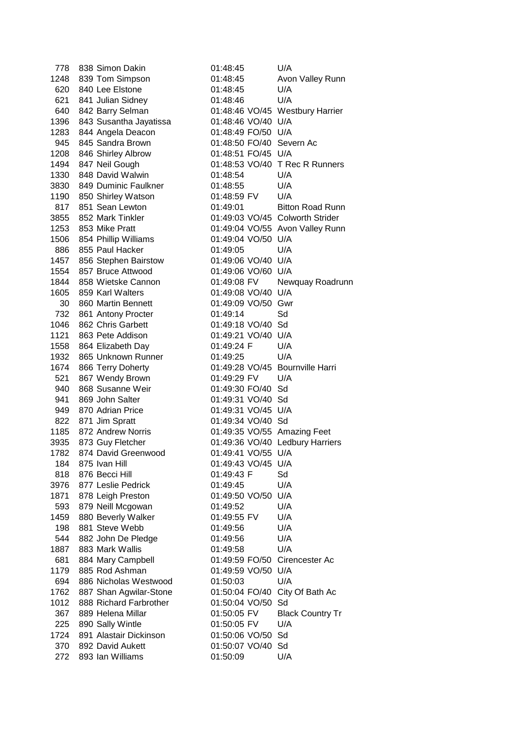| 778  | 838 Simon Dakin           | 01:48:45                        | U/A                             |
|------|---------------------------|---------------------------------|---------------------------------|
| 1248 | 839 Tom Simpson           | 01:48:45                        | Avon Valley Runn                |
| 620  | 840 Lee Elstone           | 01:48:45                        | U/A                             |
| 621  | 841 Julian Sidney         | 01:48:46                        | U/A                             |
| 640  | 842 Barry Selman          |                                 | 01:48:46 VO/45 Westbury Harrier |
| 1396 | 843 Susantha Jayatissa    | 01:48:46 VO/40 U/A              |                                 |
| 1283 | 844 Angela Deacon         | 01:48:49 FO/50 U/A              |                                 |
| 945  | 845 Sandra Brown          | 01:48:50 FO/40 Severn Ac        |                                 |
| 1208 | 846 Shirley Albrow        | 01:48:51 FO/45 U/A              |                                 |
| 1494 | 847 Neil Gough            |                                 | 01:48:53 VO/40 T Rec R Runners  |
| 1330 | 848 David Walwin          | 01:48:54                        | U/A                             |
| 3830 | 849 Duminic Faulkner      | 01:48:55                        | U/A                             |
|      | 1190 850 Shirley Watson   | 01:48:59 FV                     | U/A                             |
|      | 817 851 Sean Lewton       | 01:49:01                        | <b>Bitton Road Runn</b>         |
| 3855 | 852 Mark Tinkler          |                                 | 01:49:03 VO/45 Colworth Strider |
|      | 1253 853 Mike Pratt       |                                 | 01:49:04 VO/55 Avon Valley Runn |
|      | 1506 854 Phillip Williams | 01:49:04 VO/50 U/A              |                                 |
| 886  | 855 Paul Hacker           | 01:49:05                        | U/A                             |
| 1457 | 856 Stephen Bairstow      | 01:49:06 VO/40 U/A              |                                 |
| 1554 | 857 Bruce Attwood         | 01:49:06 VO/60 U/A              |                                 |
| 1844 | 858 Wietske Cannon        | 01:49:08 FV                     | Newquay Roadrunn                |
| 1605 | 859 Karl Walters          | 01:49:08 VO/40 U/A              |                                 |
| 30   | 860 Martin Bennett        | 01:49:09 VO/50 Gwr              |                                 |
| 732  | 861 Antony Procter        | 01:49:14                        | Sd                              |
| 1046 | 862 Chris Garbett         | 01:49:18 VO/40 Sd               |                                 |
| 1121 | 863 Pete Addison          | 01:49:21 VO/40 U/A              |                                 |
| 1558 | 864 Elizabeth Day         | 01:49:24 F                      | U/A                             |
| 1932 | 865 Unknown Runner        | 01:49:25                        | U/A                             |
| 1674 | 866 Terry Doherty         | 01:49:28 VO/45 Bournville Harri |                                 |
| 521  | 867 Wendy Brown           | 01:49:29 FV                     | U/A                             |
| 940  | 868 Susanne Weir          | 01:49:30 FO/40 Sd               |                                 |
| 941  | 869 John Salter           | 01:49:31 VO/40 Sd               |                                 |
| 949  | 870 Adrian Price          | 01:49:31 VO/45 U/A              |                                 |
|      | 822 871 Jim Spratt        | 01:49:34 VO/40 Sd               |                                 |
|      | 1185 872 Andrew Norris    | 01:49:35 VO/55 Amazing Feet     |                                 |
| 3935 | 873 Guy Fletcher          |                                 | 01:49:36 VO/40 Ledbury Harriers |
| 1782 | 874 David Greenwood       | 01:49:41 VO/55 U/A              |                                 |
| 184  | 875 Ivan Hill             | 01:49:43 VO/45 U/A              |                                 |
| 818  | 876 Becci Hill            | 01:49:43 F                      | Sd                              |
| 3976 | 877 Leslie Pedrick        | 01:49:45                        | U/A                             |
| 1871 | 878 Leigh Preston         | 01:49:50 VO/50                  | U/A                             |
| 593  | 879 Neill Mcgowan         | 01:49:52                        | U/A                             |
| 1459 | 880 Beverly Walker        | 01:49:55 FV                     | U/A                             |
| 198  | 881 Steve Webb            | 01:49:56                        | U/A                             |
| 544  | 882 John De Pledge        | 01:49:56                        | U/A                             |
| 1887 | 883 Mark Wallis           | 01:49:58                        | U/A                             |
| 681  | 884 Mary Campbell         | 01:49:59 FO/50                  | Cirencester Ac                  |
| 1179 | 885 Rod Ashman            | 01:49:59 VO/50 U/A              |                                 |
| 694  | 886 Nicholas Westwood     | 01:50:03                        | U/A                             |
| 1762 | 887 Shan Agwilar-Stone    | 01:50:04 FO/40 City Of Bath Ac  |                                 |
| 1012 | 888 Richard Farbrother    | 01:50:04 VO/50                  | Sd                              |
| 367  | 889 Helena Millar         | 01:50:05 FV                     | <b>Black Country Tr</b>         |
| 225  | 890 Sally Wintle          | 01:50:05 FV                     | U/A                             |
| 1724 | 891 Alastair Dickinson    | 01:50:06 VO/50                  | Sd                              |
| 370  | 892 David Aukett          | 01:50:07 VO/40 Sd               |                                 |
| 272  | 893 Ian Williams          | 01:50:09                        | U/A                             |
|      |                           |                                 |                                 |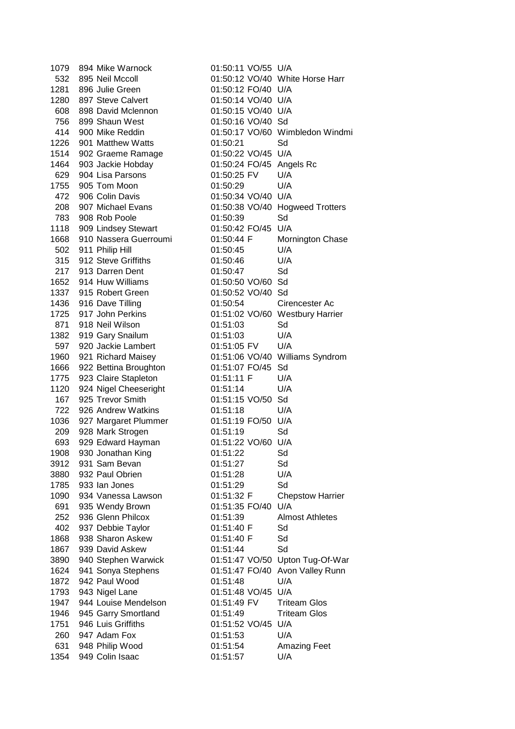1079 894 Mike Warnock 01:50:11 VO/55 U/A 532 895 Neil Mccoll 01:50:12 VO/40 White Horse Harr 1281 896 Julie Green 01:50:12 FO/40 U/A 1280 897 Steve Calvert 01:50:14 VO/40 U/A 608 898 David Mclennon 01:50:15 VO/40 U/A 756 899 Shaun West 01:50:16 VO/40 Sd 414 900 Mike Reddin 01:50:17 VO/60 Wimbledon Windmi 1226 901 Matthew Watts 01:50:21 Sd 1514 902 Graeme Ramage 01:50:22 VO/45 U/A 1464 903 Jackie Hobday 01:50:24 FO/45 Angels Rc 629 904 Lisa Parsons 01:50:25 FV U/A 1755 905 Tom Moon 01:50:29 U/A 472 906 Colin Davis 01:50:34 VO/40 U/A 208 907 Michael Evans 01:50:38 VO/40 Hogweed Trotters 783 908 Rob Poole 01:50:39 Sd 1118 909 Lindsey Stewart 01:50:42 FO/45 U/A 1668 910 Nassera Guerroumi 01:50:44 F Mornington Chase 502 911 Philip Hill 01:50:45 U/A 315 912 Steve Griffiths 01:50:46 U/A 217 913 Darren Dent 01:50:47 Sd 1652 914 Huw Williams 01:50:50 VO/60 Sd 1337 915 Robert Green 01:50:52 VO/40 Sd 1436 916 Dave Tilling 01:50:54 Cirencester Ac 1725 917 John Perkins 01:51:02 VO/60 Westbury Harrier 871 918 Neil Wilson **01:51:03** Sd 1382 919 Gary Snailum 01:51:03 U/A 597 920 Jackie Lambert 01:51:05 FV U/A 1960 921 Richard Maisey 01:51:06 VO/40 Williams Syndrom 1666 922 Bettina Broughton 01:51:07 FO/45 Sd 1775 923 Claire Stapleton 01:51:11 F U/A 1120 924 Nigel Cheeseright 01:51:14 U/A<br>167 925 Trevor Smith 01:51:15 VO/50 Sd 167 925 Trevor Smith 722 926 Andrew Watkins 01:51:18 U/A 1036 927 Margaret Plummer 01:51:19 FO/50 U/A 209 928 Mark Strogen 01:51:19 Sd 693 929 Edward Hayman 01:51:22 VO/60 U/A 1908 930 Jonathan King 01:51:22 Sd 3912 931 Sam Bevan 01:51:27 Sd 3880 932 Paul Obrien 01:51:28 U/A 1785 933 Ian Jones 01:51:29 Sd 1090 934 Vanessa Lawson 01:51:32 F Chepstow Harrier 691 935 Wendy Brown 01:51:35 FO/40 U/A 252 936 Glenn Philcox 01:51:39 Almost Athletes 402 937 Debbie Taylor 01:51:40 F Sd 1868 938 Sharon Askew 01:51:40 F Sd 1867 939 David Askew 01:51:44 Sd 3890 940 Stephen Warwick 01:51:47 VO/50 Upton Tug-Of-War 1624 941 Sonya Stephens 01:51:47 FO/40 Avon Valley Runn 1872 942 Paul Wood 01:51:48 U/A 1793 943 Nigel Lane 01:51:48 VO/45 U/A 1947 944 Louise Mendelson 01:51:49 FV Triteam Glos 1946 945 Garry Smortland 01:51:49 Triteam Glos 1751 946 Luis Griffiths 01:51:52 VO/45 U/A 260 947 Adam Fox 01:51:53 U/A 631 948 Philip Wood 01:51:54 Amazing Feet 1354 949 Colin Isaac 01:51:57 U/A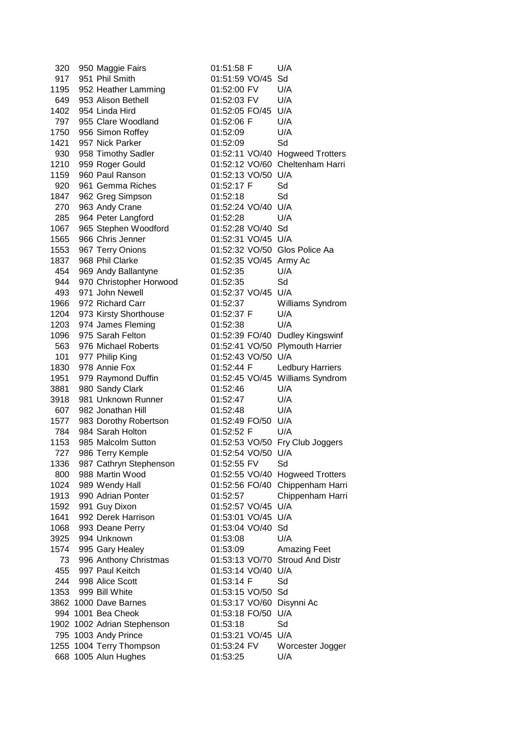320 950 Maggie Fairs 01:51:58 F U/A 917 951 Phil Smith 01:51:59 VO/45 Sd 1195 952 Heather Lamming 01:52:00 FV U/A 649 953 Alison Bethell 01:52:03 FV U/A 1402 954 Linda Hird 01:52:05 FO/45 U/A 797 955 Clare Woodland 01:52:06 F U/A 1750 956 Simon Roffey 01:52:09 U/A 1421 957 Nick Parker 01:52:09 Sd 930 958 Timothy Sadler 01:52:11 VO/40 Hogweed Trotters 1210 959 Roger Gould 01:52:12 VO/60 Cheltenham Harri 1159 960 Paul Ranson 01:52:13 VO/50 U/A 920 961 Gemma Riches 01:52:17 F Sd 1847 962 Greg Simpson 01:52:18 Sd 270 963 Andy Crane 01:52:24 VO/40 U/A 285 964 Peter Langford 01:52:28 U/A 1067 965 Stephen Woodford 01:52:28 VO/40 Sd 1565 966 Chris Jenner 01:52:31 VO/45 U/A 1553 967 Terry Onions 01:52:32 VO/50 Glos Police Aa 1837 968 Phil Clarke 01:52:35 VO/45 Army Ac 454 969 Andy Ballantyne 01:52:35 U/A 944 970 Christopher Horwood 01:52:35 Sd 493 971 John Newell 01:52:37 VO/45 U/A 1966 972 Richard Carr 01:52:37 Williams Syndrom 1204 973 Kirsty Shorthouse 01:52:37 F U/A 1203 974 James Fleming 01:52:38 U/A 1096 975 Sarah Felton 01:52:39 FO/40 Dudley Kingswinf 563 976 Michael Roberts 01:52:41 VO/50 Plymouth Harrier 101 977 Philip King 01:52:43 VO/50 U/A 1830 978 Annie Fox 01:52:44 F Ledbury Harriers 1951 979 Raymond Duffin 01:52:45 VO/45 Williams Syndrom 3881 980 Sandy Clark 01:52:46 U/A 3918 981 Unknown Runner 01:52:47 U/A 607 982 Jonathan Hill 01:52:48 U/A 1577 983 Dorothy Robertson 01:52:49 FO/50 U/A 784 984 Sarah Holton 01:52:52 F U/A 1153 985 Malcolm Sutton 01:52:53 VO/50 Fry Club Joggers 727 986 Terry Kemple 01:52:54 VO/50 U/A 1336 987 Cathryn Stephenson 01:52:55 FV Sd 800 988 Martin Wood 01:52:55 VO/40 Hogweed Trotters 1024 989 Wendy Hall 01:52:56 FO/40 Chippenham Harri 1913 990 Adrian Ponter 01:52:57 Chippenham Harri 1592 991 Guy Dixon 01:52:57 VO/45 U/A 1641 992 Derek Harrison 01:53:01 VO/45 U/A 1068 993 Deane Perry 01:53:04 VO/40 Sd 3925 994 Unknown 01:53:08 U/A 1574 995 Gary Healey 01:53:09 Amazing Feet 73 996 Anthony Christmas 01:53:13 VO/70 Stroud And Distr 455 997 Paul Keitch 01:53:14 VO/40 U/A 244 998 Alice Scott 01:53:14 F Sd 1353 999 Bill White 01:53:15 VO/50 Sd 3862 1000 Dave Barnes 01:53:17 VO/60 Disynni Ac 994 1001 Bea Cheok 01:53:18 FO/50 U/A 1902 1002 Adrian Stephenson 01:53:18 Sd 795 1003 Andy Prince 01:53:21 VO/45 U/A 1255 1004 Terry Thompson 01:53:24 FV Worcester Jogger 668 1005 Alun Hughes 01:53:25 U/A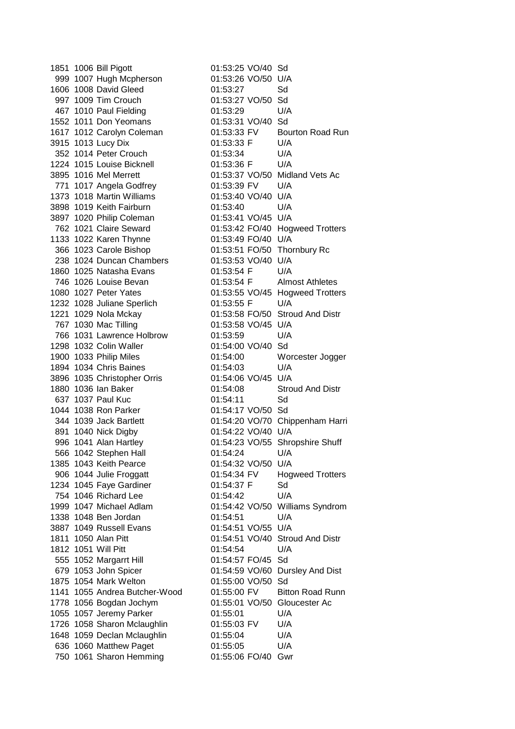1851 1006 Bill Pigott 01:53:25 VO/40 Sd 999 1007 Hugh Mcpherson 01:53:26 VO/50 U/A 1606 1008 David Gleed 01:53:27 Sd 997 1009 Tim Crouch 01:53:27 VO/50 Sd 467 1010 Paul Fielding 01:53:29 U/A 1552 1011 Don Yeomans 01:53:31 VO/40 Sd 1617 1012 Carolyn Coleman 01:53:33 FV Bourton Road Run 3915 1013 Lucy Dix 01:53:33 F U/A 352 1014 Peter Crouch 01:53:34 U/A 1224 1015 Louise Bicknell 01:53:36 F U/A 3895 1016 Mel Merrett 01:53:37 VO/50 Midland Vets Ac 771 1017 Angela Godfrey 01:53:39 FV U/A 1373 1018 Martin Williams 01:53:40 VO/40 U/A 3898 1019 Keith Fairburn 01:53:40 U/A 3897 1020 Philip Coleman 01:53:41 VO/45 U/A 762 1021 Claire Seward 01:53:42 FO/40 Hogweed Trotters 1133 1022 Karen Thynne 01:53:49 FO/40 U/A 366 1023 Carole Bishop 01:53:51 FO/50 Thornbury Rc 238 1024 Duncan Chambers 01:53:53 VO/40 U/A 1860 1025 Natasha Evans 01:53:54 F U/A 746 1026 Louise Bevan 01:53:54 F Almost Athletes 1080 1027 Peter Yates 01:53:55 VO/45 Hogweed Trotters 1232 1028 Juliane Sperlich 01:53:55 F U/A 1221 1029 Nola Mckay 01:53:58 FO/50 Stroud And Distr 767 1030 Mac Tilling 01:53:58 VO/45 U/A 766 1031 Lawrence Holbrow 01:53:59 U/A 1298 1032 Colin Waller 01:54:00 VO/40 Sd 1900 1033 Philip Miles 01:54:00 Worcester Jogger 1894 1034 Chris Baines 01:54:03 U/A 3896 1035 Christopher Orris 01:54:06 VO/45 U/A 1880 1036 Ian Baker 01:54:08 Stroud And Distr 637 1037 Paul Kuc 01:54:11 Sd 1044 1038 Ron Parker 01:54:17 VO/50 Sd 344 1039 Jack Bartlett 01:54:20 VO/70 Chippenham Harri 891 1040 Nick Digby 01:54:22 VO/40 U/A 996 1041 Alan Hartley 01:54:23 VO/55 Shropshire Shuff 566 1042 Stephen Hall 01:54:24 U/A 1385 1043 Keith Pearce 01:54:32 VO/50 U/A 906 1044 Julie Froggatt Q1:54:34 FV Hogweed Trotters 1234 1045 Faye Gardiner 01:54:37 F Sd 754 1046 Richard Lee 01:54:42 U/A 1999 1047 Michael Adlam 01:54:42 VO/50 Williams Syndrom 1338 1048 Ben Jordan 01:54:51 U/A 3887 1049 Russell Evans 01:54:51 VO/55 U/A 1811 1050 Alan Pitt 01:54:51 VO/40 Stroud And Distr 1812 1051 Will Pitt 01:54:54 U/A 555 1052 Margarrt Hill 01:54:57 FO/45 Sd 679 1053 John Spicer 01:54:59 VO/60 Dursley And Dist 1875 1054 Mark Welton 01:55:00 VO/50 Sd 1141 1055 Andrea Butcher-Wood 01:55:00 FV Bitton Road Runn 1778 1056 Bogdan Jochym 01:55:01 VO/50 Gloucester Ac 1055 1057 Jeremy Parker 01:55:01 U/A 1726 1058 Sharon Mclaughlin 01:55:03 FV U/A 1648 1059 Declan Mclaughlin 01:55:04 U/A 636 1060 Matthew Paget 01:55:05 U/A 750 1061 Sharon Hemming 01:55:06 FO/40 Gwr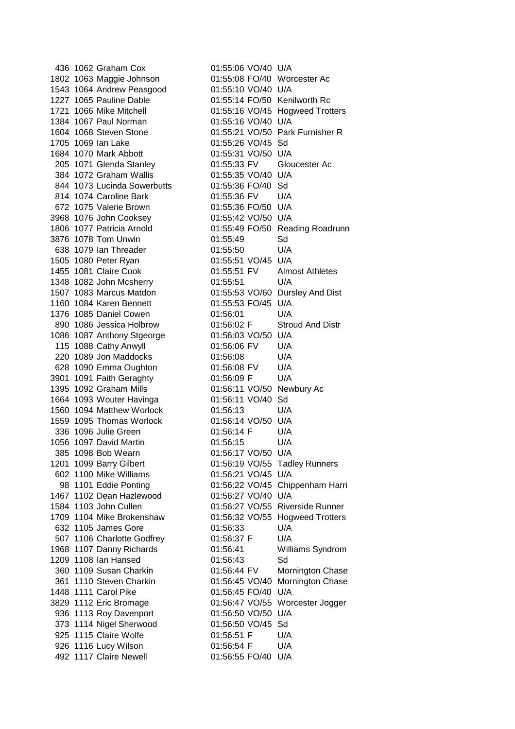436 1062 Graham Cox 01:55:06 VO/40 U/A 1543 1064 Andrew Peasgood 01:55:10 VO/40 U/A 1384 1067 Paul Norman 01:55:16 VO/40 U/A 1705 1069 Ian Lake 01:55:26 VO/45 Sd 1684 1070 Mark Abbott 01:55:31 VO/50 U/A 384 1072 Graham Wallis 01:55:35 VO/40 U/A 844 1073 Lucinda Sowerbutts 01:55:36 FO/40 Sd 814 1074 Caroline Bark 01:55:36 FV U/A 672 1075 Valerie Brown 01:55:36 FO/50 U/A 3968 1076 John Cooksey 01:55:42 VO/50 U/A 3876 1078 Tom Unwin 01:55:49 Sd 638 1079 Ian Threader 01:55:50 U/A 1505 1080 Peter Ryan 01:55:51 VO/45 U/A 1348 1082 John Mcsherry 01:55:51 U/A 1160 1084 Karen Bennett 01:55:53 FO/45 U/A 1376 1085 Daniel Cowen 01:56:01 U/A 1086 1087 Anthony Stgeorge 01:56:03 VO/50 U/A 115 1088 Cathy Anwyll 01:56:06 FV U/A 220 1089 Jon Maddocks 01:56:08 U/A 628 1090 Emma Oughton 01:56:08 FV U/A 3901 1091 Faith Geraghty 01:56:09 F U/A 1395 1092 Graham Mills 01:56:11 VO/50 Newbury Ac 1664 1093 Wouter Havinga 01:56:11 VO/40 Sd 1560 1094 Matthew Worlock 01:56:13 U/A 1559 1095 Thomas Worlock 01:56:14 VO/50 U/A 336 1096 Julie Green 01:56:14 F U/A 1056 1097 David Martin 01:56:15 U/A 385 1098 Bob Wearn 01:56:17 VO/50 U/A 602 1100 Mike Williams 01:56:21 VO/45 U/A 1467 1102 Dean Hazlewood 01:56:27 VO/40 U/A 632 1105 James Gore 01:56:33 U/A 507 1106 Charlotte Godfrey 01:56:37 F U/A 1209 1108 Ian Hansed 01:56:43 Sd 1448 1111 Carol Pike 01:56:45 FO/40 U/A 936 1113 Roy Davenport 01:56:50 VO/50 U/A 373 1114 Nigel Sherwood 01:56:50 VO/45 Sd 925 1115 Claire Wolfe **01:56:51 F** U/A 926 1116 Lucy Wilson 01:56:54 F U/A 492 1117 Claire Newell 01:56:55 FO/40 U/A

1802 1063 Maggie Johnson 01:55:08 FO/40 Worcester Ac 1227 1065 Pauline Dable 01:55:14 FO/50 Kenilworth Rc 1721 1066 Mike Mitchell 01:55:16 VO/45 Hogweed Trotters 1604 1068 Steven Stone 01:55:21 VO/50 Park Furnisher R 205 1071 Glenda Stanley 01:55:33 FV Gloucester Ac 1806 1077 Patricia Arnold 01:55:49 FO/50 Reading Roadrunn 1455 1081 Claire Cook 01:55:51 FV Almost Athletes 1507 1083 Marcus Matdon 01:55:53 VO/60 Dursley And Dist 890 1086 Jessica Holbrow 01:56:02 F Stroud And Distr 1201 1099 Barry Gilbert 01:56:19 VO/55 Tadley Runners 98 1101 Eddie Ponting 01:56:22 VO/45 Chippenham Harri 1584 1103 John Cullen 01:56:27 VO/55 Riverside Runner 1709 1104 Mike Brokenshaw 01:56:32 VO/55 Hogweed Trotters 1968 1107 Danny Richards 01:56:41 Williams Syndrom 360 1109 Susan Charkin 01:56:44 FV Mornington Chase 361 1110 Steven Charkin 01:56:45 VO/40 Mornington Chase 3829 1112 Eric Bromage 01:56:47 VO/55 Worcester Jogger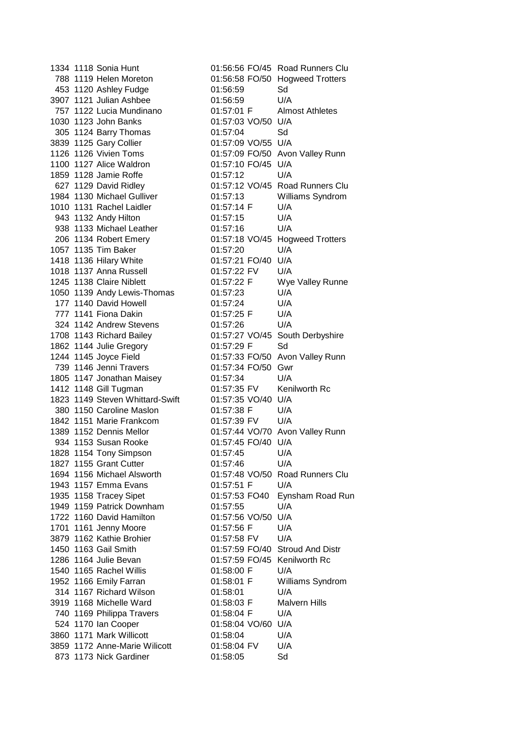1334 1118 Sonia Hunt 01:56:56 FO/45 Road Runners Clu 788 1119 Helen Moreton 01:56:58 FO/50 Hogweed Trotters 453 1120 Ashley Fudge 01:56:59 Sd 3907 1121 Julian Ashbee 01:56:59 U/A 757 1122 Lucia Mundinano 01:57:01 F Almost Athletes 1030 1123 John Banks 01:57:03 VO/50 U/A 305 1124 Barry Thomas 01:57:04 Sd 3839 1125 Gary Collier 01:57:09 VO/55 U/A 1126 1126 Vivien Toms 01:57:09 FO/50 Avon Valley Runn 1100 1127 Alice Waldron 01:57:10 FO/45 U/A 1859 1128 Jamie Roffe 01:57:12 U/A 1984 1130 Michael Gulliver 01:57:13 Williams Syndrom 1010 1131 Rachel Laidler 01:57:14 F U/A 943 1132 Andy Hilton 01:57:15 U/A 938 1133 Michael Leather 01:57:16 U/A 206 1134 Robert Emery 01:57:18 VO/45 Hogweed Trotters 1057 1135 Tim Baker 01:57:20 U/A 1418 1136 Hilary White 01:57:21 FO/40 U/A 1018 1137 Anna Russell 01:57:22 FV U/A 1245 1138 Claire Niblett 01:57:22 F Wye Valley Runne 1050 1139 Andy Lewis-Thomas 01:57:23 U/A 177 1140 David Howell 01:57:24 U/A 777 1141 Fiona Dakin 01:57:25 F U/A 324 1142 Andrew Stevens 01:57:26 U/A 1708 1143 Richard Bailey 01:57:27 VO/45 South Derbyshire 1862 1144 Julie Gregory 01:57:29 F Sd 1244 1145 Joyce Field 01:57:33 FO/50 Avon Valley Runn 739 1146 Jenni Travers 01:57:34 FO/50 Gwr 1805 1147 Jonathan Maisey 01:57:34 U/A 1412 1148 Gill Tugman 01:57:35 FV Kenilworth Rc 1823 1149 Steven Whittard-Swift 01:57:35 VO/40 U/A 380 1150 Caroline Maslon 01:57:38 F U/A 1842 1151 Marie Frankcom 01:57:39 FV U/A 1389 1152 Dennis Mellor 01:57:44 VO/70 Avon Valley Runn 934 1153 Susan Rooke 01:57:45 FO/40 U/A 1828 1154 Tony Simpson 01:57:45 U/A 1827 1155 Grant Cutter 01:57:46 U/A 1694 1156 Michael Alsworth 01:57:48 VO/50 Road Runners Clu 1943 1157 Emma Evans 01:57:51 F U/A 1949 1159 Patrick Downham 01:57:55 U/A 1722 1160 David Hamilton 01:57:56 VO/50 U/A 1701 1161 Jenny Moore 01:57:56 F U/A 3879 1162 Kathie Brohier 01:57:58 FV U/A 1450 1163 Gail Smith 01:57:59 FO/40 Stroud And Distr 1286 1164 Julie Bevan 01:57:59 FO/45 Kenilworth Rc 1540 1165 Rachel Willis 01:58:00 F U/A 1952 1166 Emily Farran 01:58:01 F Williams Syndrom 314 1167 Richard Wilson 01:58:01 U/A 3919 1168 Michelle Ward 01:58:03 F Malvern Hills 740 1169 Philippa Travers 01:58:04 F U/A 524 1170 Ian Cooper 01:58:04 VO/60 U/A 3860 1171 Mark Willicott 01:58:04 U/A 3859 1172 Anne-Marie Wilicott 01:58:04 FV U/A 873 1173 Nick Gardiner 01:58:05 Sd

627 1129 David Ridley 01:57:12 VO/45 Road Runners Clu 1935 1158 Tracey Sipet 01:57:53 FO40 Eynsham Road Run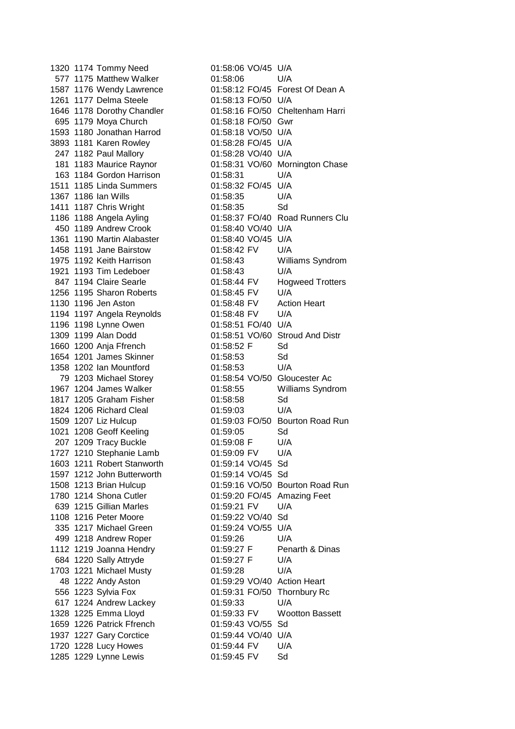1320 1174 Tommy Need 01:58:06 VO/45 U/A 577 1175 Matthew Walker 01:58:06 U/A 1261 1177 Delma Steele 01:58:13 FO/50 U/A 695 1179 Moya Church 01:58:18 FO/50 Gwr 1593 1180 Jonathan Harrod 01:58:18 VO/50 U/A 3893 1181 Karen Rowley 01:58:28 FO/45 U/A 247 1182 Paul Mallory 01:58:28 VO/40 U/A 163 1184 Gordon Harrison 01:58:31 U/A 1511 1185 Linda Summers 01:58:32 FO/45 U/A 1367 1186 Ian Wills 01:58:35 U/A 1411 1187 Chris Wright 01:58:35 Sd 450 1189 Andrew Crook 01:58:40 VO/40 U/A 1361 1190 Martin Alabaster 01:58:40 VO/45 U/A 1458 1191 Jane Bairstow 01:58:42 FV U/A 1921 1193 Tim Ledeboer 01:58:43 U/A 1256 1195 Sharon Roberts 01:58:45 FV U/A 1194 1197 Angela Reynolds 01:58:48 FV U/A 1196 1198 Lynne Owen 01:58:51 FO/40 U/A 1660 1200 Anja Ffrench 01:58:52 F Sd 1654 1201 James Skinner 01:58:53 Sd 1358 1202 Ian Mountford 01:58:53 U/A 1817 1205 Graham Fisher 01:58:58 Sd 1824 1206 Richard Cleal 01:59:03 U/A 1021 1208 Geoff Keeling 01:59:05 Sd 207 1209 Tracy Buckle 01:59:08 F U/A 1727 1210 Stephanie Lamb 01:59:09 FV U/A 1603 1211 Robert Stanworth 01:59:14 VO/45 Sd 1597 1212 John Butterworth 01:59:14 VO/45 Sd 639 1215 Gillian Marles 01:59:21 FV U/A 1108 1216 Peter Moore 01:59:22 VO/40 Sd 335 1217 Michael Green 01:59:24 VO/55 U/A 499 1218 Andrew Roper 01:59:26 U/A 684 1220 Sally Attryde 01:59:27 F U/A 1703 1221 Michael Musty 01:59:28 U/A 617 1224 Andrew Lackey 01:59:33 U/A 1659 1226 Patrick Ffrench 01:59:43 VO/55 Sd<br>1937 1227 Gary Corctice 01:59:44 VO/40 U/A 1937 1227 Gary Corctice 1720 1228 Lucy Howes 01:59:44 FV U/A 1285 1229 Lynne Lewis 01:59:45 FV Sd

1587 1176 Wendy Lawrence 01:58:12 FO/45 Forest Of Dean A 1646 1178 Dorothy Chandler 01:58:16 FO/50 Cheltenham Harri 181 1183 Maurice Raynor 01:58:31 VO/60 Mornington Chase 1186 1188 Angela Ayling 01:58:37 FO/40 Road Runners Clu 1975 1192 Keith Harrison 01:58:43 Williams Syndrom 847 1194 Claire Searle **01:58:44 FV** Hogweed Trotters 1130 1196 Jen Aston 01:58:48 FV Action Heart 1309 1199 Alan Dodd 01:58:51 VO/60 Stroud And Distr 79 1203 Michael Storey 01:58:54 VO/50 Gloucester Ac 1967 1204 James Walker 01:58:55 Williams Syndrom 1509 1207 Liz Hulcup 01:59:03 FO/50 Bourton Road Run 1508 1213 Brian Hulcup 01:59:16 VO/50 Bourton Road Run 1780 1214 Shona Cutler 01:59:20 FO/45 Amazing Feet 1112 1219 Joanna Hendry **01:59:27 F** Penarth & Dinas 48 1222 Andy Aston 01:59:29 VO/40 Action Heart 556 1223 Sylvia Fox 01:59:31 FO/50 Thornbury Rc 1328 1225 Emma Lloyd 01:59:33 FV Wootton Bassett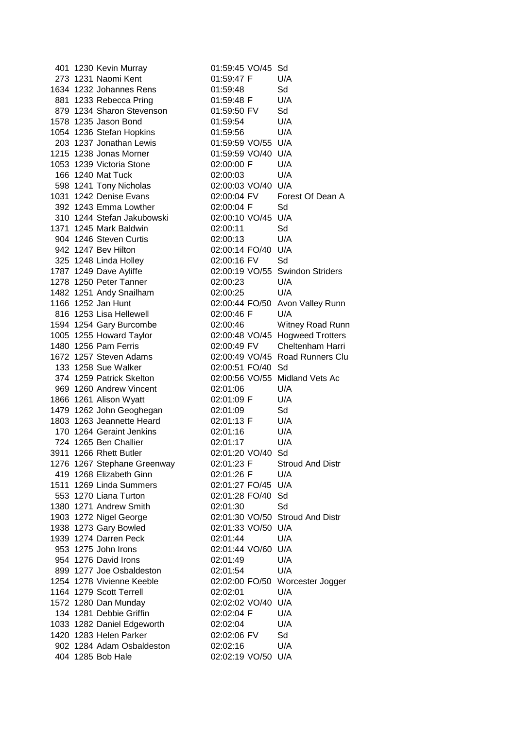| 401 1230 Kevin Murray       | 01:59:45 VO/45 Sd              |                                 |
|-----------------------------|--------------------------------|---------------------------------|
| 273 1231 Naomi Kent         | 01:59:47 F                     | U/A                             |
| 1634 1232 Johannes Rens     | 01:59:48                       | Sd                              |
| 881 1233 Rebecca Pring      | 01:59:48 F                     | U/A                             |
| 879 1234 Sharon Stevenson   | 01:59:50 FV                    | Sd                              |
| 1578 1235 Jason Bond        | 01:59:54                       | U/A                             |
| 1054 1236 Stefan Hopkins    | 01:59:56                       | U/A                             |
| 203 1237 Jonathan Lewis     | 01:59:59 VO/55 U/A             |                                 |
| 1215 1238 Jonas Morner      | 01:59:59 VO/40 U/A             |                                 |
| 1053 1239 Victoria Stone    | 02:00:00 F                     | U/A                             |
| 166 1240 Mat Tuck           | 02:00:03                       | U/A                             |
| 598 1241 Tony Nicholas      | 02:00:03 VO/40 U/A             |                                 |
| 1031 1242 Denise Evans      |                                | 02:00:04 FV Forest Of Dean A    |
| 392 1243 Emma Lowther       | 02:00:04 F Sd                  |                                 |
| 310 1244 Stefan Jakubowski  | 02:00:10 VO/45 U/A             |                                 |
| 1371 1245 Mark Baldwin      | 02:00:11                       | Sd                              |
| 904 1246 Steven Curtis      | 02:00:13                       | U/A                             |
| 942 1247 Bev Hilton         | 02:00:14 FO/40 U/A             |                                 |
| 325 1248 Linda Holley       | 02:00:16 FV                    | Sd                              |
| 1787 1249 Dave Ayliffe      |                                | 02:00:19 VO/55 Swindon Striders |
| 1278 1250 Peter Tanner      | 02:00:23                       | U/A                             |
| 1482 1251 Andy Snailham     | 02:00:25                       | U/A                             |
| 1166 1252 Jan Hunt          |                                | 02:00:44 FO/50 Avon Valley Runn |
| 816 1253 Lisa Hellewell     | 02:00:46 F                     | U/A                             |
| 1594 1254 Gary Burcombe     | 02:00:46                       | Witney Road Runn                |
| 1005 1255 Howard Taylor     |                                | 02:00:48 VO/45 Hogweed Trotters |
| 1480 1256 Pam Ferris        | 02:00:49 FV                    | Cheltenham Harri                |
| 1672 1257 Steven Adams      |                                | 02:00:49 VO/45 Road Runners Clu |
| 133 1258 Sue Walker         | 02:00:51 FO/40 Sd              |                                 |
| 374 1259 Patrick Skelton    | 02:00:56 VO/55 Midland Vets Ac |                                 |
| 969 1260 Andrew Vincent     | 02:01:06                       | U/A                             |
| 1866 1261 Alison Wyatt      | 02:01:09 F                     | U/A                             |
| 1479 1262 John Geoghegan    | 02:01:09                       | Sd                              |
| 1803 1263 Jeannette Heard   | 02:01:13 F                     | U/A                             |
| 170 1264 Geraint Jenkins    | 02:01:16                       | U/A                             |
| 724 1265 Ben Challier       | 02:01:17                       | U/A                             |
| 3911 1266 Rhett Butler      | 02:01:20 VO/40 Sd              |                                 |
| 1276 1267 Stephane Greenway | 02:01:23 F                     | <b>Stroud And Distr</b>         |
| 419 1268 Elizabeth Ginn     | 02:01:26 F                     | U/A                             |
| 1511 1269 Linda Summers     | 02:01:27 FO/45 U/A             |                                 |
| 553 1270 Liana Turton       | 02:01:28 FO/40 Sd              |                                 |
| 1380 1271 Andrew Smith      | 02:01:30                       | Sd                              |
| 1903 1272 Nigel George      |                                | 02:01:30 VO/50 Stroud And Distr |
| 1938 1273 Gary Bowled       | 02:01:33 VO/50 U/A             |                                 |
| 1939 1274 Darren Peck       | 02:01:44                       | U/A                             |
| 953 1275 John Irons         | 02:01:44 VO/60 U/A             |                                 |
| 954 1276 David Irons        | 02:01:49                       | U/A                             |
| 899 1277 Joe Osbaldeston    | 02:01:54                       | U/A                             |
| 1254 1278 Vivienne Keeble   |                                | 02:02:00 FO/50 Worcester Jogger |
| 1164 1279 Scott Terrell     | 02:02:01                       | U/A                             |
| 1572 1280 Dan Munday        | 02:02:02 VO/40 U/A             |                                 |
| 134 1281 Debbie Griffin     | 02:02:04 F                     | U/A                             |
| 1033 1282 Daniel Edgeworth  | 02:02:04                       | U/A                             |
| 1420 1283 Helen Parker      | 02:02:06 FV                    | Sd                              |
| 902 1284 Adam Osbaldeston   | 02:02:16                       | U/A                             |
| 404 1285 Bob Hale           | 02:02:19 VO/50 U/A             |                                 |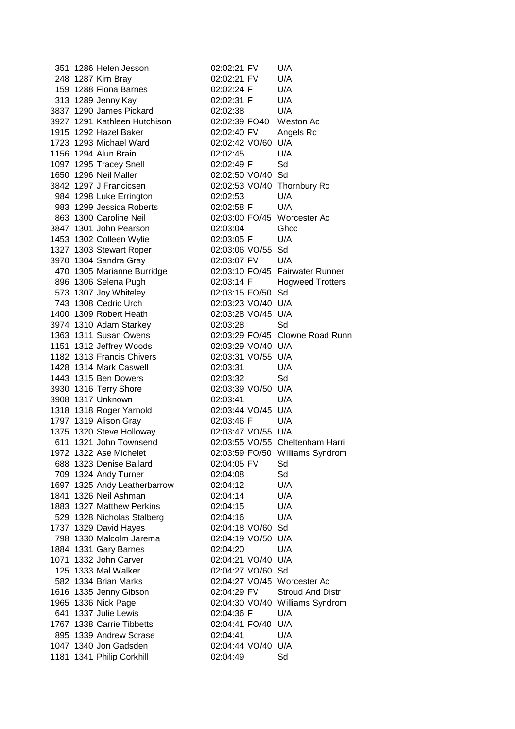351 1286 Helen Jesson 02:02:21 FV U/A 248 1287 Kim Bray 02:02:21 FV U/A 159 1288 Fiona Barnes 02:02:24 F U/A 313 1289 Jenny Kay 02:02:31 F U/A 3837 1290 James Pickard 02:02:38 U/A 3927 1291 Kathleen Hutchison 02:02:39 FO40 Weston Ac 1915 1292 Hazel Baker 02:02:40 FV Angels Rc 1723 1293 Michael Ward 02:02:42 VO/60 U/A 1156 1294 Alun Brain 02:02:45 U/A 1097 1295 Tracey Snell 02:02:49 F Sd 1650 1296 Neil Maller 02:02:50 VO/40 Sd 3842 1297 J Francicsen 02:02:53 VO/40 Thornbury Rc 984 1298 Luke Errington 02:02:53 U/A 983 1299 Jessica Roberts 02:02:58 F U/A 863 1300 Caroline Neil 02:03:00 FO/45 Worcester Ac 3847 1301 John Pearson 02:03:04 Ghcc 1453 1302 Colleen Wylie 02:03:05 F U/A 1327 1303 Stewart Roper 02:03:06 VO/55 Sd 3970 1304 Sandra Gray 02:03:07 FV U/A 470 1305 Marianne Burridge 02:03:10 FO/45 Fairwater Runner 896 1306 Selena Pugh 02:03:14 F Hogweed Trotters 573 1307 Joy Whiteley 02:03:15 FO/50 Sd 743 1308 Cedric Urch 02:03:23 VO/40 U/A 1400 1309 Robert Heath 02:03:28 VO/45 U/A 3974 1310 Adam Starkey 02:03:28 Sd 1363 1311 Susan Owens 02:03:29 FO/45 Clowne Road Runn 1151 1312 Jeffrey Woods 02:03:29 VO/40 U/A 1182 1313 Francis Chivers 02:03:31 VO/55 U/A 1428 1314 Mark Caswell 02:03:31 U/A 1443 1315 Ben Dowers 02:03:32 Sd 3930 1316 Terry Shore 02:03:39 VO/50 U/A 3908 1317 Unknown 02:03:41 U/A 1318 1318 Roger Yarnold 02:03:44 VO/45 U/A 1797 1319 Alison Gray 02:03:46 F U/A 1375 1320 Steve Holloway 02:03:47 VO/55 U/A 611 1321 John Townsend 02:03:55 VO/55 Cheltenham Harri 1972 1322 Ase Michelet 02:03:59 FO/50 Williams Syndrom 688 1323 Denise Ballard 02:04:05 FV Sd 709 1324 Andy Turner 02:04:08 Sd 1697 1325 Andy Leatherbarrow 02:04:12 U/A 1841 1326 Neil Ashman 02:04:14 U/A 1883 1327 Matthew Perkins 02:04:15 U/A 529 1328 Nicholas Stalberg 02:04:16 U/A 1737 1329 David Hayes 02:04:18 VO/60 Sd 798 1330 Malcolm Jarema 02:04:19 VO/50 U/A 1884 1331 Gary Barnes 02:04:20 U/A 1071 1332 John Carver 02:04:21 VO/40 U/A 125 1333 Mal Walker 02:04:27 VO/60 Sd 582 1334 Brian Marks 02:04:27 VO/45 Worcester Ac 1616 1335 Jenny Gibson 02:04:29 FV Stroud And Distr 1965 1336 Nick Page 02:04:30 VO/40 Williams Syndrom 641 1337 Julie Lewis 02:04:36 F U/A 1767 1338 Carrie Tibbetts 02:04:41 FO/40 U/A 895 1339 Andrew Scrase 02:04:41 U/A 1047 1340 Jon Gadsden 02:04:44 VO/40 U/A 1181 1341 Philip Corkhill 02:04:49 Sd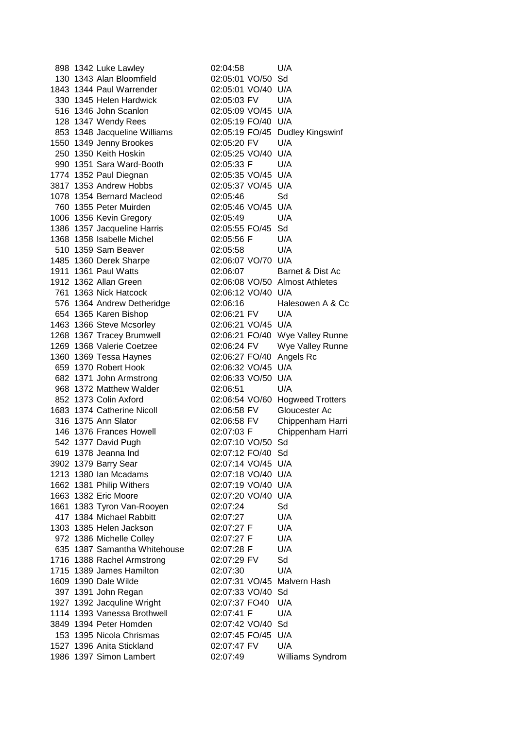|  | 898 1342 Luke Lawley         | 02:04:58                       | U/A                             |
|--|------------------------------|--------------------------------|---------------------------------|
|  | 130 1343 Alan Bloomfield     | 02:05:01 VO/50 Sd              |                                 |
|  | 1843 1344 Paul Warrender     | 02:05:01 VO/40 U/A             |                                 |
|  | 330 1345 Helen Hardwick      | 02:05:03 FV                    | U/A                             |
|  | 516 1346 John Scanlon        | 02:05:09 VO/45 U/A             |                                 |
|  | 128 1347 Wendy Rees          | 02:05:19 FO/40 U/A             |                                 |
|  | 853 1348 Jacqueline Williams |                                | 02:05:19 FO/45 Dudley Kingswinf |
|  | 1550 1349 Jenny Brookes      | 02:05:20 FV                    | U/A                             |
|  | 250 1350 Keith Hoskin        | 02:05:25 VO/40 U/A             |                                 |
|  | 990 1351 Sara Ward-Booth     | 02:05:33 F                     | U/A                             |
|  | 1774 1352 Paul Diegnan       | 02:05:35 VO/45 U/A             |                                 |
|  | 3817 1353 Andrew Hobbs       | 02:05:37 VO/45 U/A             |                                 |
|  | 1078 1354 Bernard Macleod    | 02:05:46                       | Sd                              |
|  | 760 1355 Peter Muirden       | 02:05:46 VO/45 U/A             |                                 |
|  | 1006 1356 Kevin Gregory      | 02:05:49                       | U/A                             |
|  | 1386 1357 Jacqueline Harris  | 02:05:55 FO/45 Sd              |                                 |
|  | 1368 1358 Isabelle Michel    | 02:05:56 F                     | U/A                             |
|  | 510 1359 Sam Beaver          |                                | U/A                             |
|  |                              | 02:05:58<br>02:06:07 VO/70 U/A |                                 |
|  | 1485 1360 Derek Sharpe       |                                | Barnet & Dist Ac                |
|  | 1911 1361 Paul Watts         | 02:06:07                       |                                 |
|  | 1912 1362 Allan Green        |                                | 02:06:08 VO/50 Almost Athletes  |
|  | 761 1363 Nick Hatcock        | 02:06:12 VO/40 U/A             |                                 |
|  | 576 1364 Andrew Detheridge   | 02:06:16                       | Halesowen A & Cc                |
|  | 654 1365 Karen Bishop        | 02:06:21 FV                    | U/A                             |
|  | 1463 1366 Steve Mcsorley     | 02:06:21 VO/45 U/A             |                                 |
|  | 1268 1367 Tracey Brumwell    |                                | 02:06:21 FO/40 Wye Valley Runne |
|  | 1269 1368 Valerie Coetzee    | 02:06:24 FV                    | Wye Valley Runne                |
|  | 1360 1369 Tessa Haynes       | 02:06:27 FO/40                 | Angels Rc                       |
|  | 659 1370 Robert Hook         | 02:06:32 VO/45 U/A             |                                 |
|  | 682 1371 John Armstrong      | 02:06:33 VO/50 U/A             |                                 |
|  | 968 1372 Matthew Walder      | 02:06:51                       | U/A                             |
|  | 852 1373 Colin Axford        |                                | 02:06:54 VO/60 Hogweed Trotters |
|  | 1683 1374 Catherine Nicoll   | 02:06:58 FV                    | Gloucester Ac                   |
|  | 316 1375 Ann Slator          | 02:06:58 FV                    | Chippenham Harri                |
|  | 146 1376 Frances Howell      | 02:07:03 F                     | Chippenham Harri                |
|  | 542 1377 David Pugh          | 02:07:10 VO/50 Sd              |                                 |
|  | 619 1378 Jeanna Ind          | 02:07:12 FO/40 Sd              |                                 |
|  | 3902 1379 Barry Sear         | 02:07:14 VO/45 U/A             |                                 |
|  | 1213 1380 Ian Mcadams        | 02:07:18 VO/40 U/A             |                                 |
|  | 1662 1381 Philip Withers     | 02:07:19 VO/40 U/A             |                                 |
|  | 1663 1382 Eric Moore         | 02:07:20 VO/40 U/A             |                                 |
|  | 1661 1383 Tyron Van-Rooyen   | 02:07:24                       | Sd                              |
|  | 417 1384 Michael Rabbitt     | 02:07:27                       | U/A                             |
|  | 1303 1385 Helen Jackson      | 02:07:27 F                     | U/A                             |
|  | 972 1386 Michelle Colley     | 02:07:27 F                     | U/A                             |
|  | 635 1387 Samantha Whitehouse | 02:07:28 F                     | U/A                             |
|  | 1716 1388 Rachel Armstrong   | 02:07:29 FV                    | Sd                              |
|  | 1715 1389 James Hamilton     | 02:07:30                       | U/A                             |
|  | 1609 1390 Dale Wilde         | 02:07:31 VO/45 Malvern Hash    |                                 |
|  | 397 1391 John Regan          | 02:07:33 VO/40 Sd              |                                 |
|  | 1927 1392 Jacquline Wright   | 02:07:37 FO40                  | U/A                             |
|  | 1114 1393 Vanessa Brothwell  | 02:07:41 F                     | U/A                             |
|  | 3849 1394 Peter Homden       | 02:07:42 VO/40 Sd              |                                 |
|  | 153 1395 Nicola Chrismas     | 02:07:45 FO/45 U/A             |                                 |
|  | 1527 1396 Anita Stickland    | 02:07:47 FV                    | U/A                             |
|  | 1986 1397 Simon Lambert      | 02:07:49                       | Williams Syndrom                |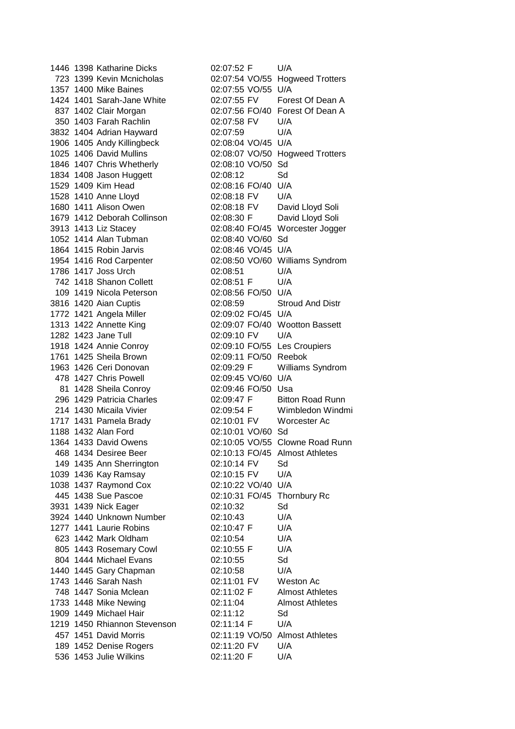1446 1398 Katharine Dicks 02:07:52 F U/A 1357 1400 Mike Baines 02:07:55 VO/55 U/A 350 1403 Farah Rachlin 02:07:58 FV U/A 3832 1404 Adrian Hayward 02:07:59 U/A 1906 1405 Andy Killingbeck 02:08:04 VO/45 U/A 1846 1407 Chris Whetherly 02:08:10 VO/50 Sd 1834 1408 Jason Huggett 02:08:12 Sd 1529 1409 Kim Head 02:08:16 FO/40 U/A 1528 1410 Anne Lloyd 02:08:18 FV U/A 1680 1411 Alison Owen 02:08:18 FV David Lloyd Soli 1679 1412 Deborah Collinson 02:08:30 F David Lloyd Soli 1052 1414 Alan Tubman 02:08:40 VO/60 Sd 1864 1415 Robin Jarvis 02:08:46 VO/45 U/A 1786 1417 Joss Urch 02:08:51 U/A 742 1418 Shanon Collett 02:08:51 F U/A 109 1419 Nicola Peterson 02:08:56 FO/50 U/A 1772 1421 Angela Miller 02:09:02 FO/45 U/A 1282 1423 Jane Tull 02:09:10 FV U/A 1918 1424 Annie Conroy 02:09:10 FO/55 Les Croupiers 1761 1425 Sheila Brown 02:09:11 FO/50 Reebok 478 1427 Chris Powell 02:09:45 VO/60 U/A 81 1428 Sheila Conroy 02:09:46 FO/50 Usa 1717 1431 Pamela Brady 02:10:01 FV Worcester Ac 1188 1432 Alan Ford 02:10:01 VO/60 Sd 149 1435 Ann Sherrington 02:10:14 FV Sd 1039 1436 Kay Ramsay 02:10:15 FV U/A 1038 1437 Raymond Cox 02:10:22 VO/40 U/A 445 1438 Sue Pascoe 02:10:31 FO/45 Thornbury Rc 3931 1439 Nick Eager 02:10:32 Sd 3924 1440 Unknown Number 02:10:43 U/A 1277 1441 Laurie Robins 02:10:47 F U/A 623 1442 Mark Oldham 02:10:54 U/A 805 1443 Rosemary Cowl 02:10:55 F U/A 804 1444 Michael Evans 02:10:55 Sd 1440 1445 Gary Chapman 02:10:58 U/A 1743 1446 Sarah Nash 02:11:01 FV Weston Ac 1733 1448 Mike Newing 02:11:04 Almost Athletes 1909 1449 Michael Hair 02:11:12 Sd 1219 1450 Rhiannon Stevenson 02:11:14 F U/A 189 1452 Denise Rogers 02:11:20 FV U/A 536 1453 Julie Wilkins 02:11:20 F U/A

723 1399 Kevin Mcnicholas 02:07:54 VO/55 Hogweed Trotters 1424 1401 Sarah-Jane White 02:07:55 FV Forest Of Dean A 837 1402 Clair Morgan 02:07:56 FO/40 Forest Of Dean A 1025 1406 David Mullins 02:08:07 VO/50 Hogweed Trotters 3913 1413 Liz Stacey 02:08:40 FO/45 Worcester Jogger 1954 1416 Rod Carpenter 02:08:50 VO/60 Williams Syndrom 3816 1420 Aian Cuptis 02:08:59 Stroud And Distr 1313 1422 Annette King 02:09:07 FO/40 Wootton Bassett 1963 1426 Ceri Donovan 02:09:29 F Williams Syndrom 296 1429 Patricia Charles **02:09:47 F** Bitton Road Runn 214 1430 Micaila Vivier 02:09:54 F Wimbledon Windmi 1364 1433 David Owens 02:10:05 VO/55 Clowne Road Runn 468 1434 Desiree Beer 02:10:13 FO/45 Almost Athletes 748 1447 Sonia Mclean 02:11:02 F Almost Athletes 457 1451 David Morris 02:11:19 VO/50 Almost Athletes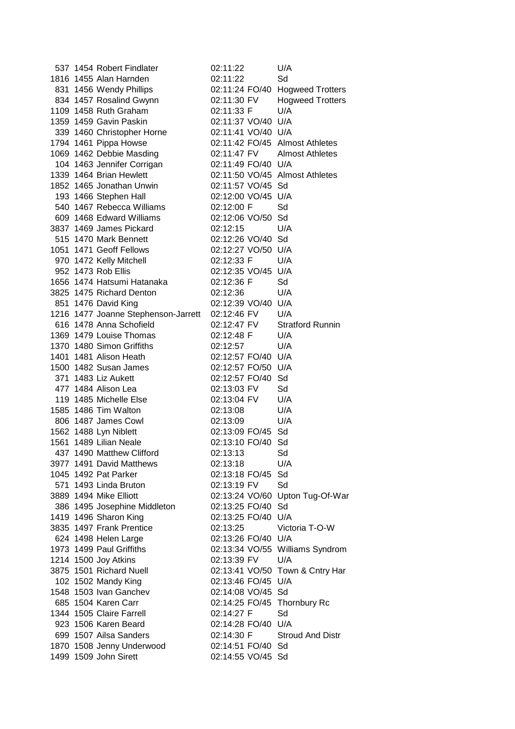|  | 537 1454 Robert Findlater           | 02:11:22                       | U/A                             |
|--|-------------------------------------|--------------------------------|---------------------------------|
|  | 1816 1455 Alan Harnden              | 02:11:22                       | Sd                              |
|  | 831 1456 Wendy Phillips             |                                | 02:11:24 FO/40 Hogweed Trotters |
|  | 834 1457 Rosalind Gwynn             | 02:11:30 FV                    | <b>Hogweed Trotters</b>         |
|  | 1109 1458 Ruth Graham               | 02:11:33 F                     | U/A                             |
|  | 1359 1459 Gavin Paskin              | 02:11:37 VO/40 U/A             |                                 |
|  | 339 1460 Christopher Horne          | 02:11:41 VO/40 U/A             |                                 |
|  | 1794 1461 Pippa Howse               | 02:11:42 FO/45 Almost Athletes |                                 |
|  | 1069 1462 Debbie Masding            | 02:11:47 FV Almost Athletes    |                                 |
|  | 104 1463 Jennifer Corrigan          | 02:11:49 FO/40 U/A             |                                 |
|  | 1339 1464 Brian Hewlett             | 02:11:50 VO/45 Almost Athletes |                                 |
|  | 1852 1465 Jonathan Unwin            | 02:11:57 VO/45 Sd              |                                 |
|  | 193 1466 Stephen Hall               | 02:12:00 VO/45 U/A             |                                 |
|  | 540 1467 Rebecca Williams           | 02:12:00 F                     | Sd                              |
|  | 609 1468 Edward Williams            | 02:12:06 VO/50 Sd              |                                 |
|  | 3837 1469 James Pickard             | 02:12:15                       | U/A                             |
|  | 515 1470 Mark Bennett               | 02:12:26 VO/40 Sd              |                                 |
|  | 1051 1471 Geoff Fellows             | 02:12:27 VO/50 U/A             |                                 |
|  | 970 1472 Kelly Mitchell             | 02:12:33 F                     | U/A                             |
|  | 952 1473 Rob Ellis                  | 02:12:35 VO/45 U/A             |                                 |
|  | 1656 1474 Hatsumi Hatanaka          | 02:12:36 F                     | Sd                              |
|  | 3825 1475 Richard Denton            | 02:12:36                       | U/A                             |
|  | 851 1476 David King                 | 02:12:39 VO/40 U/A             |                                 |
|  | 1216 1477 Joanne Stephenson-Jarrett | 02:12:46 FV                    | U/A                             |
|  | 616 1478 Anna Schofield             | 02:12:47 FV                    | <b>Stratford Runnin</b>         |
|  | 1369 1479 Louise Thomas             | 02:12:48 F                     | U/A                             |
|  | 1370 1480 Simon Griffiths           | 02:12:57                       | U/A                             |
|  | 1401 1481 Alison Heath              | 02:12:57 FO/40 U/A             |                                 |
|  | 1500 1482 Susan James               | 02:12:57 FO/50 U/A             |                                 |
|  | 371 1483 Liz Aukett                 | 02:12:57 FO/40                 | Sd                              |
|  | 477 1484 Alison Lea                 | 02:13:03 FV                    | Sd                              |
|  | 119 1485 Michelle Else              | 02:13:04 FV                    | U/A                             |
|  | 1585 1486 Tim Walton                | 02:13:08                       | U/A                             |
|  | 806 1487 James Cowl                 | 02:13:09                       | U/A                             |
|  | 1562 1488 Lyn Niblett               | 02:13:09 FO/45 Sd              |                                 |
|  | 1561 1489 Lilian Neale              | 02:13:10 FO/40 Sd              |                                 |
|  | 437 1490 Matthew Clifford           | 02:13:13                       | Sd                              |
|  | 3977 1491 David Matthews            | 02:13:18                       | U/A                             |
|  | 1045 1492 Pat Parker                | 02:13:18 FO/45                 | Sd                              |
|  | 571 1493 Linda Bruton               | 02:13:19 FV                    | Sd                              |
|  | 3889 1494 Mike Elliott              |                                | 02:13:24 VO/60 Upton Tug-Of-War |
|  | 386 1495 Josephine Middleton        | 02:13:25 FO/40                 | Sd                              |
|  | 1419 1496 Sharon King               | 02:13:25 FO/40                 | U/A                             |
|  | 3835 1497 Frank Prentice            | 02:13:25                       | Victoria T-O-W                  |
|  | 624 1498 Helen Large                | 02:13:26 FO/40 U/A             |                                 |
|  | 1973 1499 Paul Griffiths            |                                | 02:13:34 VO/55 Williams Syndrom |
|  | 1214 1500 Joy Atkins                | 02:13:39 FV                    | U/A                             |
|  | 3875 1501 Richard Nuell             |                                | 02:13:41 VO/50 Town & Cntry Har |
|  | 102 1502 Mandy King                 | 02:13:46 FO/45 U/A             |                                 |
|  | 1548 1503 Ivan Ganchev              | 02:14:08 VO/45 Sd              |                                 |
|  | 685 1504 Karen Carr                 | 02:14:25 FO/45 Thornbury Rc    |                                 |
|  | 1344 1505 Claire Farrell            | 02:14:27 F                     | Sd                              |
|  | 923 1506 Karen Beard                | 02:14:28 FO/40 U/A             |                                 |
|  | 699 1507 Ailsa Sanders              | 02:14:30 F                     | <b>Stroud And Distr</b>         |
|  | 1870 1508 Jenny Underwood           | 02:14:51 FO/40 Sd              |                                 |
|  | 1499 1509 John Sirett               | 02:14:55 VO/45 Sd              |                                 |
|  |                                     |                                |                                 |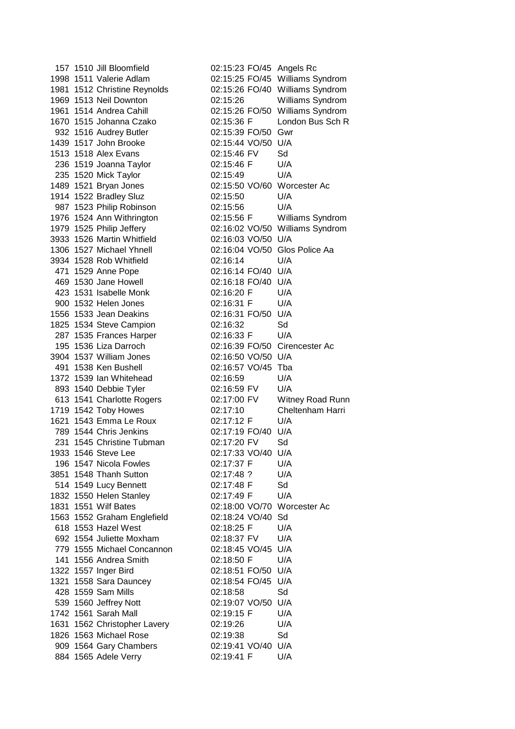157 1510 Jill Bloomfield 02:15:23 FO/45 Angels Rc 1998 1511 Valerie Adlam 02:15:25 FO/45 Williams Syndrom 1981 1512 Christine Reynolds 02:15:26 FO/40 Williams Syndrom 1969 1513 Neil Downton 02:15:26 Williams Syndrom 1961 1514 Andrea Cahill 02:15:26 FO/50 Williams Syndrom 1670 1515 Johanna Czako 02:15:36 F London Bus Sch R 932 1516 Audrey Butler 02:15:39 FO/50 Gwr 1439 1517 John Brooke 02:15:44 VO/50 U/A 1513 1518 Alex Evans 02:15:46 FV Sd 236 1519 Joanna Taylor 02:15:46 F U/A 235 1520 Mick Taylor 02:15:49 U/A 1489 1521 Bryan Jones 02:15:50 VO/60 Worcester Ac 1914 1522 Bradley Sluz 02:15:50 U/A 987 1523 Philip Robinson 02:15:56 U/A 1976 1524 Ann Withrington 02:15:56 F Williams Syndrom 1979 1525 Philip Jeffery 02:16:02 VO/50 Williams Syndrom 3933 1526 Martin Whitfield 02:16:03 VO/50 U/A 1306 1527 Michael Yhnell 02:16:04 VO/50 Glos Police Aa 3934 1528 Rob Whitfield 02:16:14 U/A 471 1529 Anne Pope 02:16:14 FO/40 U/A 469 1530 Jane Howell 02:16:18 FO/40 U/A 423 1531 Isabelle Monk 02:16:20 F U/A 900 1532 Helen Jones 02:16:31 F U/A 1556 1533 Jean Deakins 02:16:31 FO/50 U/A 1825 1534 Steve Campion 02:16:32 Sd 287 1535 Frances Harper 02:16:33 F U/A 195 1536 Liza Darroch 02:16:39 FO/50 Cirencester Ac 3904 1537 William Jones 02:16:50 VO/50 U/A 491 1538 Ken Bushell 02:16:57 VO/45 Tba 1372 1539 Ian Whitehead 02:16:59 U/A 893 1540 Debbie Tyler 02:16:59 FV U/A 613 1541 Charlotte Rogers 02:17:00 FV Witney Road Runn 1719 1542 Toby Howes 02:17:10 Cheltenham Harri 1621 1543 Emma Le Roux 02:17:12 F U/A 789 1544 Chris Jenkins 02:17:19 FO/40 U/A 231 1545 Christine Tubman 02:17:20 FV Sd 1933 1546 Steve Lee 02:17:33 VO/40 U/A 196 1547 Nicola Fowles 02:17:37 F U/A 3851 1548 Thanh Sutton 02:17:48 ? U/A 514 1549 Lucy Bennett 02:17:48 F Sd 1832 1550 Helen Stanley 02:17:49 F U/A 1831 1551 Wilf Bates 02:18:00 VO/70 Worcester Ac 1563 1552 Graham Englefield 02:18:24 VO/40 Sd 618 1553 Hazel West 02:18:25 F U/A 692 1554 Juliette Moxham 02:18:37 FV U/A 779 1555 Michael Concannon 02:18:45 VO/45 U/A 141 1556 Andrea Smith 02:18:50 F U/A 1322 1557 Inger Bird 02:18:51 FO/50 U/A 1321 1558 Sara Dauncey 02:18:54 FO/45 U/A 428 1559 Sam Mills 02:18:58 Sd 539 1560 Jeffrey Nott 02:19:07 VO/50 U/A 1742 1561 Sarah Mall 02:19:15 F U/A 1631 1562 Christopher Lavery 02:19:26 U/A 1826 1563 Michael Rose 02:19:38 Sd 909 1564 Gary Chambers 02:19:41 VO/40 U/A 884 1565 Adele Verry 02:19:41 F U/A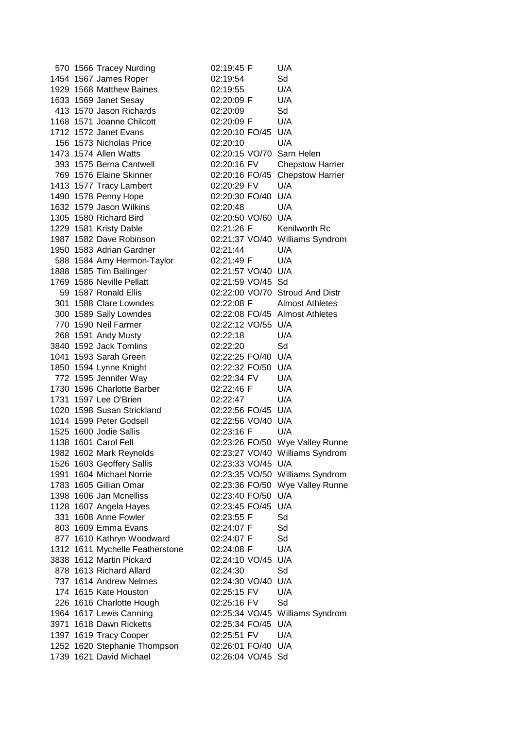|                        | 570 1566 Tracey Nurding                                     | 02:19:45 F                     | U/A                             |
|------------------------|-------------------------------------------------------------|--------------------------------|---------------------------------|
|                        | 1454 1567 James Roper                                       | 02:19:54                       | Sd                              |
|                        | 1929 1568 Matthew Baines                                    | 02:19:55                       | U/A                             |
|                        | 1633 1569 Janet Sesay                                       | 02:20:09 F                     | U/A                             |
|                        | 413 1570 Jason Richards                                     | 02:20:09                       | Sd                              |
|                        | 1168 1571 Joanne Chilcott                                   | 02:20:09 F                     | U/A                             |
|                        | 1712 1572 Janet Evans                                       | 02:20:10 FO/45 U/A             |                                 |
|                        | 156 1573 Nicholas Price                                     | 02:20:10                       | U/A                             |
| 1473 1574 Allen Watts  |                                                             | 02:20:15 VO/70 Sarn Helen      |                                 |
|                        | 393 1575 Berna Cantwell                                     | 02:20:16 FV                    | <b>Chepstow Harrier</b>         |
|                        | 769 1576 Elaine Skinner                                     |                                | 02:20:16 FO/45 Chepstow Harrier |
|                        | 1413 1577 Tracy Lambert                                     | 02:20:29 FV                    | U/A                             |
|                        | 1490 1578 Penny Hope                                        | 02:20:30 FO/40 U/A             |                                 |
|                        | 1632 1579 Jason Wilkins                                     | 02:20:48                       | U/A                             |
|                        | 1305 1580 Richard Bird                                      | 02:20:50 VO/60 U/A             |                                 |
|                        | 1229 1581 Kristy Dable                                      | 02:21:26 F                     | Kenilworth Rc                   |
|                        | 1987 1582 Dave Robinson                                     |                                | 02:21:37 VO/40 Williams Syndrom |
|                        | 1950 1583 Adrian Gardner                                    | 02:21:44                       | U/A                             |
|                        | 588 1584 Amy Hermon-Taylor                                  | 02:21:49 F                     | U/A                             |
|                        | 1888 1585 Tim Ballinger                                     | 02:21:57 VO/40 U/A             |                                 |
|                        | 1769 1586 Neville Pellatt                                   | 02:21:59 VO/45 Sd              |                                 |
|                        | 59 1587 Ronald Ellis                                        |                                | 02:22:00 VO/70 Stroud And Distr |
|                        | 301 1588 Clare Lowndes                                      | 02:22:08 F                     | <b>Almost Athletes</b>          |
|                        | 300 1589 Sally Lowndes                                      | 02:22:08 FO/45 Almost Athletes |                                 |
|                        | 770 1590 Neil Farmer                                        | 02:22:12 VO/55 U/A             |                                 |
|                        | 268 1591 Andy Musty                                         | 02:22:18                       | U/A                             |
|                        | 3840 1592 Jack Tomlins                                      | 02:22:20                       | Sd                              |
|                        | 1041 1593 Sarah Green                                       | 02:22:25 FO/40 U/A             |                                 |
|                        |                                                             | 02:22:32 FO/50 U/A             |                                 |
|                        | 1850 1594 Lynne Knight<br>772 1595 Jennifer Way             | 02:22:34 FV                    | U/A                             |
|                        | 1730 1596 Charlotte Barber                                  | 02:22:46 F                     | U/A                             |
|                        | 1731 1597 Lee O'Brien                                       | 02:22:47                       | U/A                             |
|                        | 1020 1598 Susan Strickland                                  | 02:22:56 FO/45 U/A             |                                 |
|                        | 1014 1599 Peter Godsell                                     | 02:22:56 VO/40 U/A             |                                 |
| 1525 1600 Jodie Sallis |                                                             | 02:23:16 F                     | U/A                             |
| 1138 1601 Carol Fell   |                                                             |                                | 02:23:26 FO/50 Wye Valley Runne |
|                        |                                                             |                                | 02:23:27 VO/40 Williams Syndrom |
|                        | 1982 1602 Mark Reynolds<br>1526 1603 Geoffery Sallis        | 02:23:33 VO/45 U/A             |                                 |
|                        | 1991 1604 Michael Norrie                                    |                                | 02:23:35 VO/50 Williams Syndrom |
|                        | 1783 1605 Gillian Omar                                      |                                | 02:23:36 FO/50 Wye Valley Runne |
|                        | 1398 1606 Jan Mcnelliss                                     | 02:23:40 FO/50 U/A             |                                 |
|                        | 1128 1607 Angela Hayes                                      | 02:23:45 FO/45 U/A             |                                 |
|                        | 331 1608 Anne Fowler                                        | 02:23:55 F                     | Sd                              |
|                        | 803 1609 Emma Evans                                         | 02:24:07 F                     | Sd                              |
|                        |                                                             | 02:24:07 F                     | Sd                              |
|                        | 877 1610 Kathryn Woodward                                   |                                |                                 |
|                        | 1312 1611 Mychelle Featherstone<br>3838 1612 Martin Pickard | 02:24:08 F                     | U/A                             |
|                        |                                                             | 02:24:10 VO/45 U/A             |                                 |
|                        | 878 1613 Richard Allard                                     | 02:24:30                       | Sd                              |
|                        | 737 1614 Andrew Nelmes                                      | 02:24:30 VO/40 U/A             |                                 |
|                        | 174 1615 Kate Houston                                       | 02:25:15 FV                    | U/A                             |
|                        | 226 1616 Charlotte Hough                                    | 02:25:16 FV                    | Sd                              |
|                        | 1964 1617 Lewis Canning                                     |                                | 02:25:34 VO/45 Williams Syndrom |
|                        | 3971 1618 Dawn Ricketts                                     | 02:25:34 FO/45 U/A             |                                 |
|                        | 1397 1619 Tracy Cooper                                      | 02:25:51 FV                    | U/A                             |
|                        | 1252 1620 Stephanie Thompson                                | 02:26:01 FO/40 U/A             |                                 |
|                        | 1739 1621 David Michael                                     | 02:26:04 VO/45 Sd              |                                 |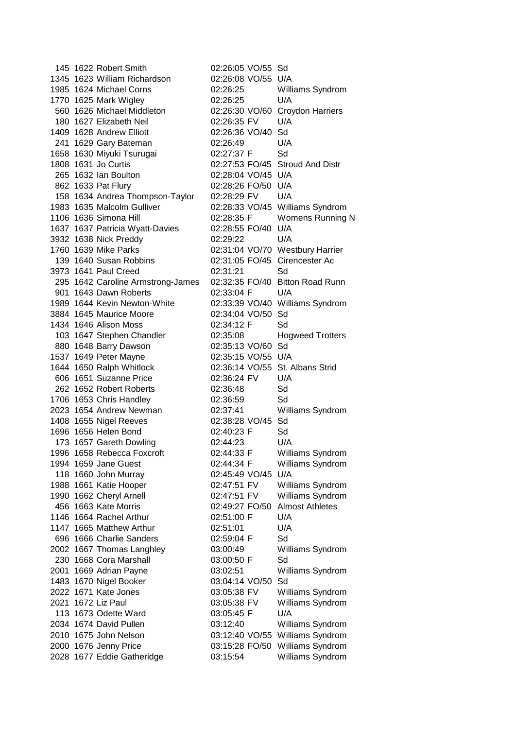145 1622 Robert Smith 02:26:05 VO/55 Sd 1345 1623 William Richardson 02:26:08 VO/55 U/A 1985 1624 Michael Corns 02:26:25 Williams Syndrom 1770 1625 Mark Wigley 02:26:25 U/A 560 1626 Michael Middleton 02:26:30 VO/60 Croydon Harriers 180 1627 Elizabeth Neil 02:26:35 FV U/A 1409 1628 Andrew Elliott 02:26:36 VO/40 Sd 241 1629 Gary Bateman 02:26:49 U/A 1658 1630 Miyuki Tsurugai 02:27:37 F Sd 1808 1631 Jo Curtis 02:27:53 FO/45 Stroud And Distr 265 1632 Ian Boulton 02:28:04 VO/45 U/A 862 1633 Pat Flury 02:28:26 FO/50 U/A 158 1634 Andrea Thompson-Taylor 02:28:29 FV U/A 1983 1635 Malcolm Gulliver 02:28:33 VO/45 Williams Syndrom 1106 1636 Simona Hill 02:28:35 F Womens Running N 1637 1637 Patricia Wyatt-Davies 02:28:55 FO/40 U/A 3932 1638 Nick Preddy 02:29:22 U/A 1760 1639 Mike Parks 02:31:04 VO/70 Westbury Harrier 139 1640 Susan Robbins 02:31:05 FO/45 Cirencester Ac 3973 1641 Paul Creed 02:31:21 Sd 295 1642 Caroline Armstrong-James 02:32:35 FO/40 Bitton Road Runn 901 1643 Dawn Roberts 02:33:04 F U/A 1989 1644 Kevin Newton-White 02:33:39 VO/40 Williams Syndrom 3884 1645 Maurice Moore 02:34:04 VO/50 Sd 1434 1646 Alison Moss 02:34:12 F Sd 103 1647 Stephen Chandler 02:35:08 Hogweed Trotters 880 1648 Barry Dawson 02:35:13 VO/60 Sd 1537 1649 Peter Mayne 02:35:15 VO/55 U/A 1644 1650 Ralph Whitlock 02:36:14 VO/55 St. Albans Strid 606 1651 Suzanne Price 02:36:24 FV U/A 262 1652 Robert Roberts 02:36:48 Sd 1706 1653 Chris Handley 02:36:59 Sd 2023 1654 Andrew Newman 02:37:41 Williams Syndrom 1408 1655 Nigel Reeves 02:38:28 VO/45 Sd 1696 1656 Helen Bond 02:40:23 F Sd 173 1657 Gareth Dowling 02:44:23 U/A 1996 1658 Rebecca Foxcroft 02:44:33 F Williams Syndrom 1994 1659 Jane Guest 02:44:34 F Williams Syndrom 118 1660 John Murray 02:45:49 VO/45 U/A 1988 1661 Katie Hooper 02:47:51 FV Williams Syndrom 1990 1662 Cheryl Arnell 02:47:51 FV Williams Syndrom 456 1663 Kate Morris 02:49:27 FO/50 Almost Athletes 1146 1664 Rachel Arthur 02:51:00 F U/A 1147 1665 Matthew Arthur 02:51:01 U/A 696 1666 Charlie Sanders 02:59:04 F Sd 2002 1667 Thomas Langhley 03:00:49 Williams Syndrom 230 1668 Cora Marshall 03:00:50 F Sd 2001 1669 Adrian Payne 03:02:51 Williams Syndrom 1483 1670 Nigel Booker 03:04:14 VO/50 Sd 2022 1671 Kate Jones 03:05:38 FV Williams Syndrom 2021 1672 Liz Paul 03:05:38 FV Williams Syndrom 113 1673 Odette Ward 03:05:45 F U/A 2034 1674 David Pullen 03:12:40 Williams Syndrom 2010 1675 John Nelson 03:12:40 VO/55 Williams Syndrom 2000 1676 Jenny Price 03:15:28 FO/50 Williams Syndrom 2028 1677 Eddie Gatheridge 03:15:54 Williams Syndrom